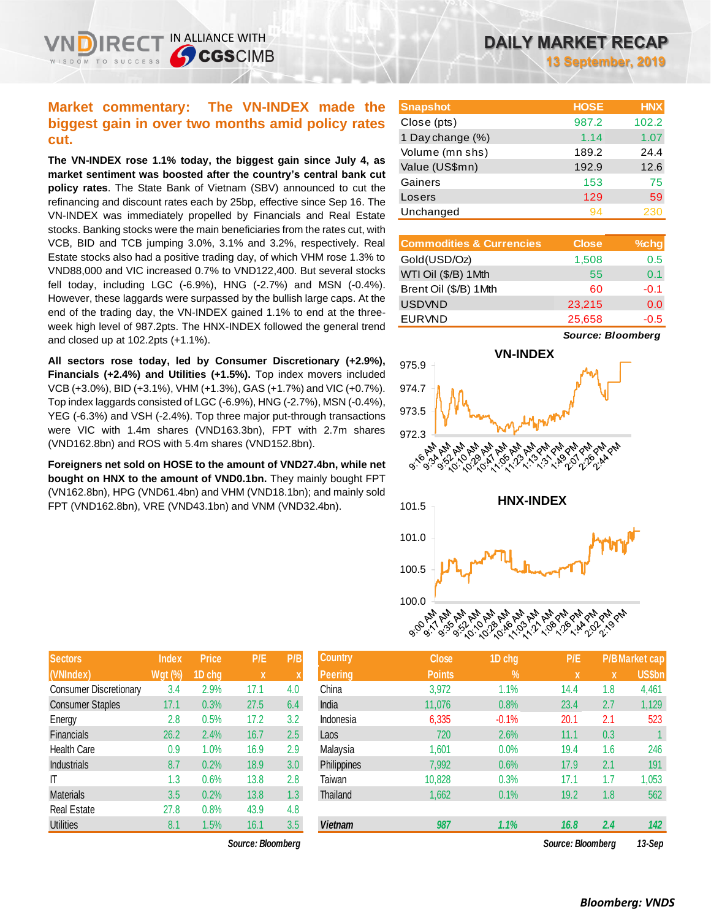## **Market commentary: The VN-INDEX made the biggest gain in over two months amid policy rates cut.**

IN ALLIANCE WITH

**CGSCIMB** 

**The VN-INDEX rose 1.1% today, the biggest gain since July 4, as market sentiment was boosted after the country's central bank cut policy rates**. The State Bank of Vietnam (SBV) announced to cut the refinancing and discount rates each by 25bp, effective since Sep 16. The VN-INDEX was immediately propelled by Financials and Real Estate stocks. Banking stocks were the main beneficiaries from the rates cut, with VCB, BID and TCB jumping 3.0%, 3.1% and 3.2%, respectively. Real Estate stocks also had a positive trading day, of which VHM rose 1.3% to VND88,000 and VIC increased 0.7% to VND122,400. But several stocks fell today, including LGC (-6.9%), HNG (-2.7%) and MSN (-0.4%). However, these laggards were surpassed by the bullish large caps. At the end of the trading day, the VN-INDEX gained 1.1% to end at the threeweek high level of 987.2pts. The HNX-INDEX followed the general trend and closed up at 102.2pts (+1.1%).

**All sectors rose today, led by Consumer Discretionary (+2.9%), Financials (+2.4%) and Utilities (+1.5%).** Top index movers included VCB (+3.0%), BID (+3.1%), VHM (+1.3%), GAS (+1.7%) and VIC (+0.7%). Top index laggards consisted of LGC (-6.9%), HNG (-2.7%), MSN (-0.4%), YEG (-6.3%) and VSH (-2.4%). Top three major put-through transactions were VIC with 1.4m shares (VND163.3bn), FPT with 2.7m shares (VND162.8bn) and ROS with 5.4m shares (VND152.8bn).

**Foreigners net sold on HOSE to the amount of VND27.4bn, while net bought on HNX to the amount of VND0.1bn.** They mainly bought FPT (VN162.8bn), HPG (VND61.4bn) and VHM (VND18.1bn); and mainly sold FPT (VND162.8bn), VRE (VND43.1bn) and VNM (VND32.4bn).

| <b>Sectors</b>                | <b>Index</b>   | <b>Price</b> | P/E  | P/B |
|-------------------------------|----------------|--------------|------|-----|
| (VNIndex)                     | <b>Wgt (%)</b> | 1D chg       | X    | X   |
| <b>Consumer Discretionary</b> | 3.4            | 2.9%         | 17.1 | 4.0 |
| <b>Consumer Staples</b>       | 17.1           | 0.3%         | 27.5 | 6.4 |
| Energy                        | 2.8            | 0.5%         | 17.2 | 3.2 |
| <b>Financials</b>             | 26.2           | 2.4%         | 16.7 | 2.5 |
| <b>Health Care</b>            | 0.9            | 1.0%         | 16.9 | 2.9 |
| <b>Industrials</b>            | 8.7            | 0.2%         | 18.9 | 3.0 |
| ıτ                            | 1.3            | 0.6%         | 13.8 | 2.8 |
| <b>Materials</b>              | 3.5            | 0.2%         | 13.8 | 1.3 |
| <b>Real Estate</b>            | 27.8           | 0.8%         | 43.9 | 4.8 |
| <b>Utilities</b>              | 8.1            | 1.5%         | 16.1 | 3.5 |

 $Source: Bloomberg$ 

**13 September, 2019**

| <b>Snapshot</b>  | <b>HOSE</b> | <b>HNX</b> |
|------------------|-------------|------------|
| Close (pts)      | 987.2       | 102.2      |
| 1 Day change (%) | 1.14        | 1.07       |
| Volume (mn shs)  | 189.2       | 24.4       |
| Value (US\$mn)   | 192.9       | 12.6       |
| Gainers          | 153         | 75         |
| Losers           | 129         | 59         |
| Unchanged        | 94          |            |

| <b>Commodities &amp; Currencies</b> | <b>Close</b> | $%$ chg |
|-------------------------------------|--------------|---------|
| Gold(USD/Oz)                        | 1,508        | 0.5     |
| WTI Oil (\$/B) 1 Mth                | 55           | 0.1     |
| Brent Oil (\$/B) 1Mth               | 60           | $-0.1$  |
| <b>USDVND</b>                       | 23,215       | 0.0     |
| <b>EURVND</b>                       | 25,658       | $-0.5$  |

*Source: Bloomberg*



| <b>Sectors</b>          | <b>Index</b>   | <b>Price</b> | P/E               | P/B              | <b>Country</b>     | <b>Close</b>  | 1D chg     | P/E               |     | <b>P/B Market cap</b> |
|-------------------------|----------------|--------------|-------------------|------------------|--------------------|---------------|------------|-------------------|-----|-----------------------|
| (VNIndex)               | <b>Wgt (%)</b> | 1D chg       | X                 |                  | <b>Peering</b>     | <b>Points</b> | $\sqrt{2}$ | $\mathbf{x}$      | X   | US\$bn                |
| Consumer Discretionary  | 3.4            | 2.9%         | 17.1              | 4.0              | China              | 3,972         | 1.1%       | 14.4              | 1.8 | 4,461                 |
| <b>Consumer Staples</b> | 17.1           | 0.3%         | 27.5              | 6.4              | India              | 11,076        | 0.8%       | 23.4              | 2.7 | 1,129                 |
| Energy                  | 2.8            | 0.5%         | 17.2              | 3.2              | Indonesia          | 6,335         | $-0.1%$    | 20.1              | 2.1 | 523                   |
| <b>Financials</b>       | 26.2           | 2.4%         | 16.7              | 2.5              | Laos               | 720           | 2.6%       | 11.1              | 0.3 |                       |
| Health Care             | 0.9            | $.0\%$       | 16.9              | 2.9              | Malaysia           | 1,601         | 0.0%       | 19.4              | 1.6 | 246                   |
| <b>Industrials</b>      | 8.7            | 0.2%         | 18.9              | 3.0 <sub>2</sub> | <b>Philippines</b> | 7,992         | 0.6%       | 17.9              | 2.1 | 191                   |
| IΤ                      | 1.3            | 0.6%         | 13.8              | 2.8              | Taiwan             | 10,828        | 0.3%       | 17.1              | 1.7 | 1,053                 |
| <b>Materials</b>        | 3.5            | 0.2%         | 13.8              | 1.3 <sup>°</sup> | Thailand           | 1,662         | 0.1%       | 19.2              | 1.8 | 562                   |
| Real Estate             | 27.8           | 0.8%         | 43.9              | 4.8              |                    |               |            |                   |     |                       |
| <b>Utilities</b>        | 8.1            | $1.5\%$      | 16.1              | 3.5              | <b>Vietnam</b>     | 987           | 1.1%       | 16.8              | 2.4 | 142                   |
|                         |                |              | Source: Bloombera |                  |                    |               |            | Source: Bloombera |     | 13-Sep                |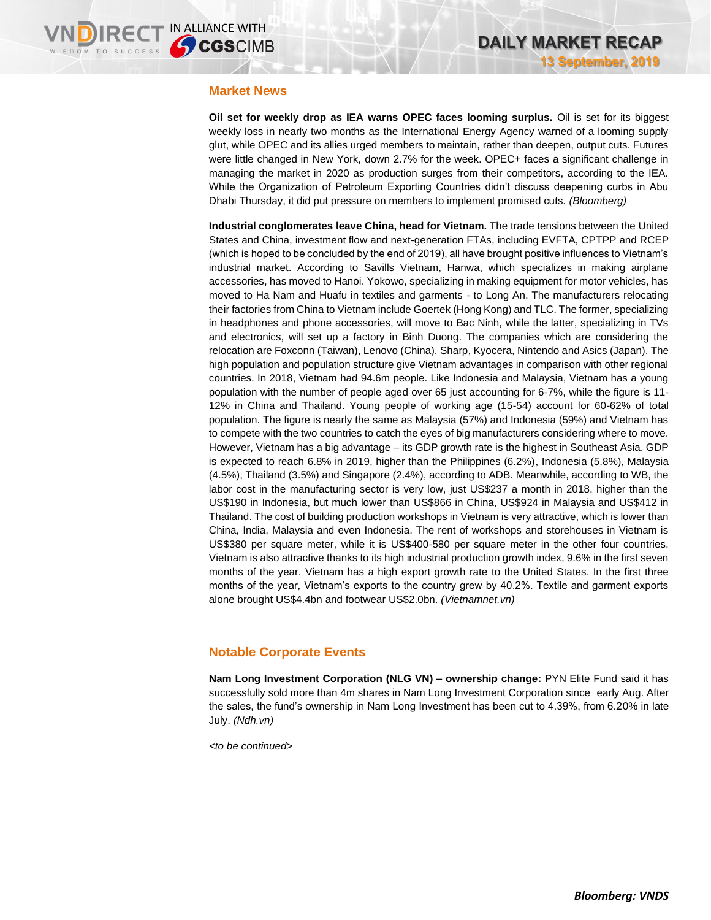### **Market News**

**Oil set for weekly drop as IEA warns OPEC faces looming surplus.** Oil is set for its biggest weekly loss in nearly two months as the International Energy Agency warned of a looming supply glut, while OPEC and its allies urged members to maintain, rather than deepen, output cuts. Futures were little changed in New York, down 2.7% for the week. OPEC+ faces a significant challenge in managing the market in 2020 as production surges from their competitors, according to the IEA. While the Organization of Petroleum Exporting Countries didn't discuss deepening curbs in Abu Dhabi Thursday, it did put pressure on members to implement promised cuts. *(Bloomberg)*

**Industrial conglomerates leave China, head for Vietnam.** The trade tensions between the United States and China, investment flow and next-generation FTAs, including EVFTA, CPTPP and RCEP (which is hoped to be concluded by the end of 2019), all have brought positive influences to Vietnam's industrial market. According to Savills Vietnam, Hanwa, which specializes in making airplane accessories, has moved to Hanoi. Yokowo, specializing in making equipment for motor vehicles, has moved to Ha Nam and Huafu in textiles and garments - to Long An. The manufacturers relocating their factories from China to Vietnam include Goertek (Hong Kong) and TLC. The former, specializing in headphones and phone accessories, will move to Bac Ninh, while the latter, specializing in TVs and electronics, will set up a factory in Binh Duong. The companies which are considering the relocation are Foxconn (Taiwan), Lenovo (China). Sharp, Kyocera, Nintendo and Asics (Japan). The high population and population structure give Vietnam advantages in comparison with other regional countries. In 2018, Vietnam had 94.6m people. Like Indonesia and Malaysia, Vietnam has a young population with the number of people aged over 65 just accounting for 6-7%, while the figure is 11- 12% in China and Thailand. Young people of working age (15-54) account for 60-62% of total population. The figure is nearly the same as Malaysia (57%) and Indonesia (59%) and Vietnam has to compete with the two countries to catch the eyes of big manufacturers considering where to move. However, Vietnam has a big advantage – its GDP growth rate is the highest in Southeast Asia. GDP is expected to reach 6.8% in 2019, higher than the Philippines (6.2%), Indonesia (5.8%), Malaysia (4.5%), Thailand (3.5%) and Singapore (2.4%), according to ADB. Meanwhile, according to WB, the labor cost in the manufacturing sector is very low, just US\$237 a month in 2018, higher than the US\$190 in Indonesia, but much lower than US\$866 in China, US\$924 in Malaysia and US\$412 in Thailand. The cost of building production workshops in Vietnam is very attractive, which is lower than China, India, Malaysia and even Indonesia. The rent of workshops and storehouses in Vietnam is US\$380 per square meter, while it is US\$400-580 per square meter in the other four countries. Vietnam is also attractive thanks to its high industrial production growth index, 9.6% in the first seven months of the year. Vietnam has a high export growth rate to the United States. In the first three months of the year, Vietnam's exports to the country grew by 40.2%. Textile and garment exports alone brought US\$4.4bn and footwear US\$2.0bn. *(Vietnamnet.vn)*

## **Notable Corporate Events**

**Nam Long Investment Corporation (NLG VN) – ownership change:** PYN Elite Fund said it has successfully sold more than 4m shares in Nam Long Investment Corporation since early Aug. After the sales, the fund's ownership in Nam Long Investment has been cut to 4.39%, from 6.20% in late July. *(Ndh.vn)*

*<to be continued>*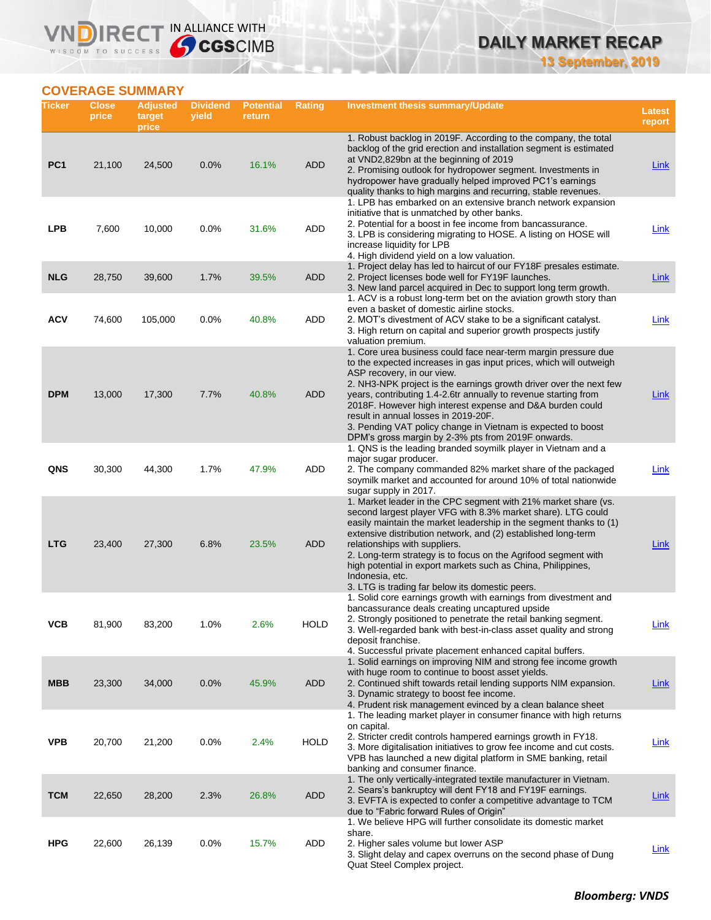**13 September, 2019**

## **COVERAGE SUMMARY**

WISDOM TO SUCCESS

**VNDIRECT IN ALLIANCE WITH** 

| Ticker          | <b>Close</b><br>price | <b>Adjusted</b><br>target<br>price | <b>Dividend</b><br>yield | <b>Potential</b><br>return | <b>Rating</b> | Investment thesis summary/Update                                                                                                                                                                                                                                                                                                                                                                                                                                                                                                       | Latest<br>report |
|-----------------|-----------------------|------------------------------------|--------------------------|----------------------------|---------------|----------------------------------------------------------------------------------------------------------------------------------------------------------------------------------------------------------------------------------------------------------------------------------------------------------------------------------------------------------------------------------------------------------------------------------------------------------------------------------------------------------------------------------------|------------------|
| PC <sub>1</sub> | 21,100                | 24,500                             | 0.0%                     | 16.1%                      | <b>ADD</b>    | 1. Robust backlog in 2019F. According to the company, the total<br>backlog of the grid erection and installation segment is estimated<br>at VND2,829bn at the beginning of 2019<br>2. Promising outlook for hydropower segment. Investments in<br>hydropower have gradually helped improved PC1's earnings<br>quality thanks to high margins and recurring, stable revenues.                                                                                                                                                           | <b>Link</b>      |
| <b>LPB</b>      | 7,600                 | 10,000                             | 0.0%                     | 31.6%                      | ADD           | 1. LPB has embarked on an extensive branch network expansion<br>initiative that is unmatched by other banks.<br>2. Potential for a boost in fee income from bancassurance.<br>3. LPB is considering migrating to HOSE. A listing on HOSE will<br>increase liquidity for LPB<br>4. High dividend yield on a low valuation.                                                                                                                                                                                                              | Link             |
| <b>NLG</b>      | 28,750                | 39,600                             | 1.7%                     | 39.5%                      | <b>ADD</b>    | 1. Project delay has led to haircut of our FY18F presales estimate.<br>2. Project licenses bode well for FY19F launches.<br>3. New land parcel acquired in Dec to support long term growth.<br>1. ACV is a robust long-term bet on the aviation growth story than                                                                                                                                                                                                                                                                      | <b>Link</b>      |
| <b>ACV</b>      | 74,600                | 105,000                            | 0.0%                     | 40.8%                      | ADD           | even a basket of domestic airline stocks.<br>2. MOT's divestment of ACV stake to be a significant catalyst.<br>3. High return on capital and superior growth prospects justify<br>valuation premium.                                                                                                                                                                                                                                                                                                                                   | <b>Link</b>      |
| <b>DPM</b>      | 13,000                | 17,300                             | 7.7%                     | 40.8%                      | <b>ADD</b>    | 1. Core urea business could face near-term margin pressure due<br>to the expected increases in gas input prices, which will outweigh<br>ASP recovery, in our view.<br>2. NH3-NPK project is the earnings growth driver over the next few<br>years, contributing 1.4-2.6tr annually to revenue starting from<br>2018F. However high interest expense and D&A burden could<br>result in annual losses in 2019-20F.<br>3. Pending VAT policy change in Vietnam is expected to boost<br>DPM's gross margin by 2-3% pts from 2019F onwards. | Link             |
| QNS             | 30,300                | 44,300                             | 1.7%                     | 47.9%                      | ADD           | 1. QNS is the leading branded soymilk player in Vietnam and a<br>major sugar producer.<br>2. The company commanded 82% market share of the packaged<br>soymilk market and accounted for around 10% of total nationwide<br>sugar supply in 2017.                                                                                                                                                                                                                                                                                        | Link             |
| <b>LTG</b>      | 23,400                | 27,300                             | 6.8%                     | 23.5%                      | <b>ADD</b>    | 1. Market leader in the CPC segment with 21% market share (vs.<br>second largest player VFG with 8.3% market share). LTG could<br>easily maintain the market leadership in the segment thanks to (1)<br>extensive distribution network, and (2) established long-term<br>relationships with suppliers.<br>2. Long-term strategy is to focus on the Agrifood segment with<br>high potential in export markets such as China, Philippines,<br>Indonesia, etc.<br>3. LTG is trading far below its domestic peers.                         | Link             |
| VCB             | 81,900                | 83,200                             | 1.0%                     | 2.6%                       | <b>HOLD</b>   | 1. Solid core earnings growth with earnings from divestment and<br>bancassurance deals creating uncaptured upside<br>2. Strongly positioned to penetrate the retail banking segment.<br>3. Well-regarded bank with best-in-class asset quality and strong<br>deposit franchise.<br>4. Successful private placement enhanced capital buffers.                                                                                                                                                                                           | <u>Link</u>      |
| <b>MBB</b>      | 23,300                | 34,000                             | 0.0%                     | 45.9%                      | <b>ADD</b>    | 1. Solid earnings on improving NIM and strong fee income growth<br>with huge room to continue to boost asset yields.<br>2. Continued shift towards retail lending supports NIM expansion.<br>3. Dynamic strategy to boost fee income.<br>4. Prudent risk management evinced by a clean balance sheet                                                                                                                                                                                                                                   | Link             |
| <b>VPB</b>      | 20,700                | 21,200                             | 0.0%                     | 2.4%                       | <b>HOLD</b>   | 1. The leading market player in consumer finance with high returns<br>on capital.<br>2. Stricter credit controls hampered earnings growth in FY18.<br>3. More digitalisation initiatives to grow fee income and cut costs.<br>VPB has launched a new digital platform in SME banking, retail<br>banking and consumer finance.                                                                                                                                                                                                          | <b>Link</b>      |
| <b>TCM</b>      | 22,650                | 28,200                             | 2.3%                     | 26.8%                      | <b>ADD</b>    | 1. The only vertically-integrated textile manufacturer in Vietnam.<br>2. Sears's bankruptcy will dent FY18 and FY19F earnings.<br>3. EVFTA is expected to confer a competitive advantage to TCM<br>due to "Fabric forward Rules of Origin"                                                                                                                                                                                                                                                                                             | <b>Link</b>      |
| <b>HPG</b>      | 22,600                | 26,139                             | 0.0%                     | 15.7%                      | ADD           | 1. We believe HPG will further consolidate its domestic market<br>share.<br>2. Higher sales volume but lower ASP<br>3. Slight delay and capex overruns on the second phase of Dung<br>Quat Steel Complex project.                                                                                                                                                                                                                                                                                                                      | <b>Link</b>      |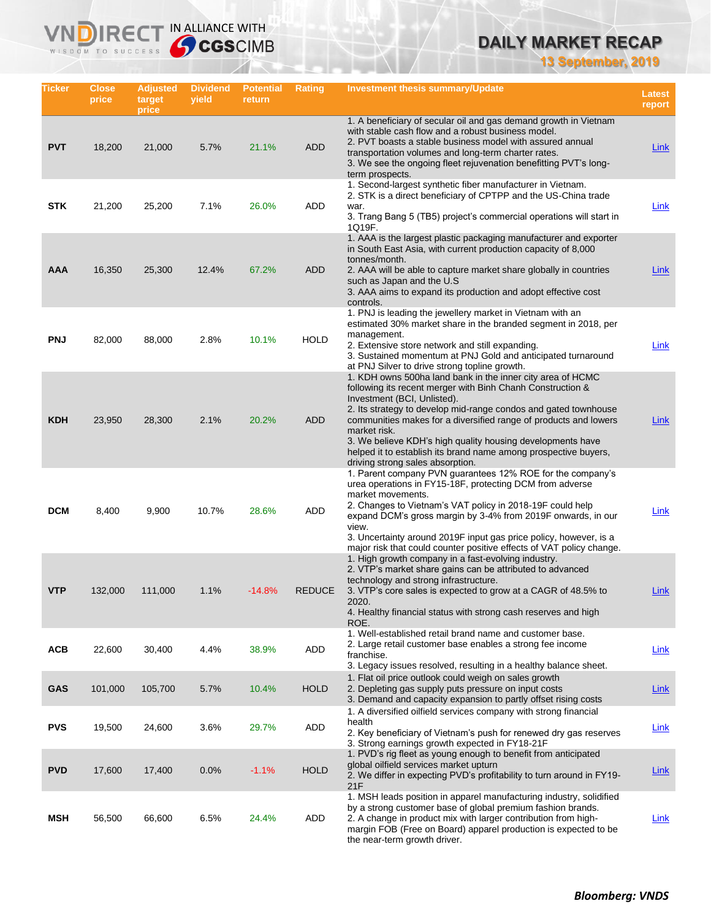**13 September, 2019**

| Ticker     | <b>Close</b><br>price | <b>Adjusted</b><br>target<br>price | <b>Dividend</b><br>yield | <b>Potential</b><br>return | Rating        | Investment thesis summary/Update                                                                                                                                                                                                                                                                                                                                                                                                                                                    | Latest<br>report |
|------------|-----------------------|------------------------------------|--------------------------|----------------------------|---------------|-------------------------------------------------------------------------------------------------------------------------------------------------------------------------------------------------------------------------------------------------------------------------------------------------------------------------------------------------------------------------------------------------------------------------------------------------------------------------------------|------------------|
| <b>PVT</b> | 18,200                | 21,000                             | 5.7%                     | 21.1%                      | <b>ADD</b>    | 1. A beneficiary of secular oil and gas demand growth in Vietnam<br>with stable cash flow and a robust business model.<br>2. PVT boasts a stable business model with assured annual<br>transportation volumes and long-term charter rates.<br>3. We see the ongoing fleet rejuvenation benefitting PVT's long-<br>term prospects.                                                                                                                                                   | Link             |
| <b>STK</b> | 21,200                | 25,200                             | 7.1%                     | 26.0%                      | ADD           | 1. Second-largest synthetic fiber manufacturer in Vietnam.<br>2. STK is a direct beneficiary of CPTPP and the US-China trade<br>war.<br>3. Trang Bang 5 (TB5) project's commercial operations will start in<br>1Q19F.                                                                                                                                                                                                                                                               | Link             |
| <b>AAA</b> | 16,350                | 25,300                             | 12.4%                    | 67.2%                      | <b>ADD</b>    | 1. AAA is the largest plastic packaging manufacturer and exporter<br>in South East Asia, with current production capacity of 8,000<br>tonnes/month.<br>2. AAA will be able to capture market share globally in countries<br>such as Japan and the U.S.<br>3. AAA aims to expand its production and adopt effective cost<br>controls.                                                                                                                                                | Link             |
| <b>PNJ</b> | 82,000                | 88,000                             | 2.8%                     | 10.1%                      | <b>HOLD</b>   | 1. PNJ is leading the jewellery market in Vietnam with an<br>estimated 30% market share in the branded segment in 2018, per<br>management.<br>2. Extensive store network and still expanding.<br>3. Sustained momentum at PNJ Gold and anticipated turnaround<br>at PNJ Silver to drive strong topline growth.                                                                                                                                                                      | <b>Link</b>      |
| <b>KDH</b> | 23,950                | 28,300                             | 2.1%                     | 20.2%                      | <b>ADD</b>    | 1. KDH owns 500ha land bank in the inner city area of HCMC<br>following its recent merger with Binh Chanh Construction &<br>Investment (BCI, Unlisted).<br>2. Its strategy to develop mid-range condos and gated townhouse<br>communities makes for a diversified range of products and lowers<br>market risk.<br>3. We believe KDH's high quality housing developments have<br>helped it to establish its brand name among prospective buyers,<br>driving strong sales absorption. | Link             |
| <b>DCM</b> | 8,400                 | 9,900                              | 10.7%                    | 28.6%                      | ADD           | 1. Parent company PVN guarantees 12% ROE for the company's<br>urea operations in FY15-18F, protecting DCM from adverse<br>market movements.<br>2. Changes to Vietnam's VAT policy in 2018-19F could help<br>expand DCM's gross margin by 3-4% from 2019F onwards, in our<br>view.<br>3. Uncertainty around 2019F input gas price policy, however, is a<br>major risk that could counter positive effects of VAT policy change.                                                      | Link             |
| <b>VTP</b> | 132,000               | 111,000                            | 1.1%                     | $-14.8%$                   | <b>REDUCE</b> | 1. High growth company in a fast-evolving industry.<br>2. VTP's market share gains can be attributed to advanced<br>technology and strong infrastructure.<br>3. VTP's core sales is expected to grow at a CAGR of 48.5% to<br>2020.<br>4. Healthy financial status with strong cash reserves and high<br>ROE.                                                                                                                                                                       | Link             |
| <b>ACB</b> | 22,600                | 30,400                             | 4.4%                     | 38.9%                      | ADD           | 1. Well-established retail brand name and customer base.<br>2. Large retail customer base enables a strong fee income<br>franchise.<br>3. Legacy issues resolved, resulting in a healthy balance sheet.                                                                                                                                                                                                                                                                             | <b>Link</b>      |
| <b>GAS</b> | 101,000               | 105,700                            | 5.7%                     | 10.4%                      | <b>HOLD</b>   | 1. Flat oil price outlook could weigh on sales growth<br>2. Depleting gas supply puts pressure on input costs<br>3. Demand and capacity expansion to partly offset rising costs                                                                                                                                                                                                                                                                                                     | <b>Link</b>      |
| <b>PVS</b> | 19,500                | 24,600                             | 3.6%                     | 29.7%                      | ADD           | 1. A diversified oilfield services company with strong financial<br>health<br>2. Key beneficiary of Vietnam's push for renewed dry gas reserves<br>3. Strong earnings growth expected in FY18-21F                                                                                                                                                                                                                                                                                   | <b>Link</b>      |
| <b>PVD</b> | 17,600                | 17,400                             | 0.0%                     | $-1.1%$                    | <b>HOLD</b>   | 1. PVD's rig fleet as young enough to benefit from anticipated<br>global oilfield services market upturn<br>2. We differ in expecting PVD's profitability to turn around in FY19-<br>21F                                                                                                                                                                                                                                                                                            | <b>Link</b>      |
| MSH        | 56,500                | 66,600                             | 6.5%                     | 24.4%                      | ADD           | 1. MSH leads position in apparel manufacturing industry, solidified<br>by a strong customer base of global premium fashion brands.<br>2. A change in product mix with larger contribution from high-<br>margin FOB (Free on Board) apparel production is expected to be<br>the near-term growth driver.                                                                                                                                                                             | <b>Link</b>      |

**VNDIRECT IN ALLIANCE WITH** 

WISDOM TO SUCCESS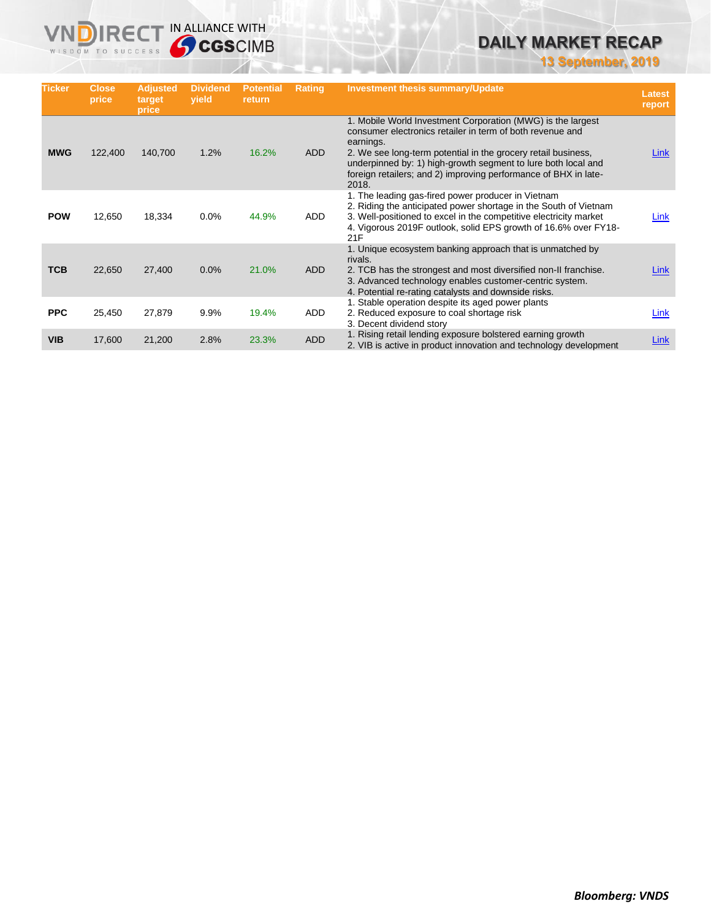**13 September, 2019**

| <b>Ticker</b> | Close,<br>price | <b>Adjusted</b><br>target<br>price | <b>Dividend</b><br>yield | <b>Potential</b><br>return | <b>Rating</b> | <b>Investment thesis summary/Update</b>                                                                                                                                                                                                                                                                                                             | <b>Latest</b><br>report |
|---------------|-----------------|------------------------------------|--------------------------|----------------------------|---------------|-----------------------------------------------------------------------------------------------------------------------------------------------------------------------------------------------------------------------------------------------------------------------------------------------------------------------------------------------------|-------------------------|
| <b>MWG</b>    | 122,400         | 140,700                            | 1.2%                     | 16.2%                      | <b>ADD</b>    | 1. Mobile World Investment Corporation (MWG) is the largest<br>consumer electronics retailer in term of both revenue and<br>earnings.<br>2. We see long-term potential in the grocery retail business,<br>underpinned by: 1) high-growth segment to lure both local and<br>foreign retailers; and 2) improving performance of BHX in late-<br>2018. | Link                    |
| <b>POW</b>    | 12,650          | 18,334                             | 0.0%                     | 44.9%                      | ADD           | 1. The leading gas-fired power producer in Vietnam<br>2. Riding the anticipated power shortage in the South of Vietnam<br>3. Well-positioned to excel in the competitive electricity market<br>4. Vigorous 2019F outlook, solid EPS growth of 16.6% over FY18-<br>21F                                                                               | Link                    |
| <b>TCB</b>    | 22,650          | 27,400                             | 0.0%                     | 21.0%                      | <b>ADD</b>    | 1. Unique ecosystem banking approach that is unmatched by<br>rivals.<br>2. TCB has the strongest and most diversified non-II franchise.<br>3. Advanced technology enables customer-centric system.<br>4. Potential re-rating catalysts and downside risks.                                                                                          | Link                    |
| <b>PPC</b>    | 25,450          | 27,879                             | 9.9%                     | 19.4%                      | ADD           | 1. Stable operation despite its aged power plants<br>2. Reduced exposure to coal shortage risk<br>3. Decent dividend story                                                                                                                                                                                                                          | Link                    |
| <b>VIB</b>    | 17,600          | 21,200                             | 2.8%                     | 23.3%                      | <b>ADD</b>    | 1. Rising retail lending exposure bolstered earning growth<br>2. VIB is active in product innovation and technology development                                                                                                                                                                                                                     | <b>Link</b>             |

**VNDIRECT IN ALLIANCE WITH**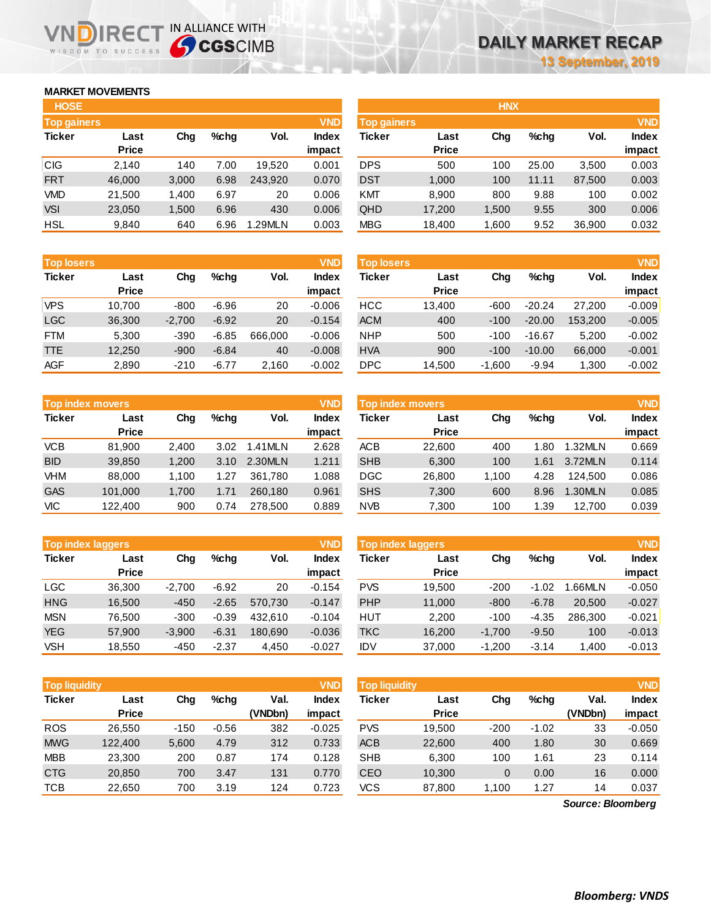## **MARKET MOVEMENTS**

WISDOM TO SUCCESS

| <b>HOSE</b>        |              |       |      |         |              |
|--------------------|--------------|-------|------|---------|--------------|
| <b>Top gainers</b> |              |       |      |         | <b>VND</b>   |
| <b>Ticker</b>      | Last         | Chq   | %chq | Vol.    | <b>Index</b> |
|                    | <b>Price</b> |       |      |         | impact       |
| <b>CIG</b>         | 2.140        | 140   | 7.00 | 19,520  | 0.001        |
| <b>FRT</b>         | 46,000       | 3,000 | 6.98 | 243.920 | 0.070        |
| VMD                | 21,500       | 1,400 | 6.97 | 20      | 0.006        |
| <b>VSI</b>         | 23,050       | 1,500 | 6.96 | 430     | 0.006        |
| HSL                | 9,840        | 640   | 6.96 | 1.29MLN | 0.003        |

NDIRECT IN ALLIANCE WITH

| <b>Top losers</b> |              |          |         |         | <b>VND</b>   |
|-------------------|--------------|----------|---------|---------|--------------|
| <b>Ticker</b>     | Last         | Cha      | %chq    | Vol.    | <b>Index</b> |
|                   | <b>Price</b> |          |         |         | impact       |
| <b>VPS</b>        | 10,700       | $-800$   | $-6.96$ | 20      | $-0.006$     |
| <b>LGC</b>        | 36,300       | $-2,700$ | $-6.92$ | 20      | $-0.154$     |
| <b>FTM</b>        | 5,300        | $-390$   | $-6.85$ | 666,000 | $-0.006$     |
| <b>TTE</b>        | 12,250       | $-900$   | $-6.84$ | 40      | $-0.008$     |
| AGF               | 2,890        | $-210$   | $-6.77$ | 2,160   | $-0.002$     |

| <b>Top index movers</b> |              |       |         |         |              |  |  |
|-------------------------|--------------|-------|---------|---------|--------------|--|--|
| <b>Ticker</b>           | Last         | Cha   | $%$ chq | Vol.    | <b>Index</b> |  |  |
|                         | <b>Price</b> |       |         |         | impact       |  |  |
| <b>VCB</b>              | 81,900       | 2,400 | 3.02    | 1.41MLN | 2.628        |  |  |
| <b>BID</b>              | 39,850       | 1,200 | 3.10    | 2.30MLN | 1.211        |  |  |
| <b>VHM</b>              | 88,000       | 1,100 | 1.27    | 361,780 | 1.088        |  |  |
| <b>GAS</b>              | 101,000      | 1,700 | 1.71    | 260,180 | 0.961        |  |  |
| VIС                     | 122,400      | 900   | 0.74    | 278,500 | 0.889        |  |  |

| <b>Top index laggers</b> |              |          |         |         |              |  |  |
|--------------------------|--------------|----------|---------|---------|--------------|--|--|
| <b>Ticker</b>            | Last         | Cha      | %chq    | Vol.    | <b>Index</b> |  |  |
|                          | <b>Price</b> |          |         |         | impact       |  |  |
| <b>LGC</b>               | 36,300       | $-2,700$ | $-6.92$ | 20      | $-0.154$     |  |  |
| <b>HNG</b>               | 16,500       | $-450$   | $-2.65$ | 570,730 | $-0.147$     |  |  |
| <b>MSN</b>               | 76,500       | $-300$   | $-0.39$ | 432.610 | $-0.104$     |  |  |
| <b>YEG</b>               | 57,900       | $-3,900$ | $-6.31$ | 180,690 | $-0.036$     |  |  |
| <b>VSH</b>               | 18,550       | $-450$   | $-2.37$ | 4,450   | $-0.027$     |  |  |

| <b>Top liquidity</b> |              |        |         |         | <b>VND</b>   |
|----------------------|--------------|--------|---------|---------|--------------|
| <b>Ticker</b>        | Last         | Cha    | %chq    | Val.    | <b>Index</b> |
|                      | <b>Price</b> |        |         | (VNDbn) | impact       |
| <b>ROS</b>           | 26,550       | $-150$ | $-0.56$ | 382     | $-0.025$     |
| <b>MWG</b>           | 122,400      | 5,600  | 4.79    | 312     | 0.733        |
| <b>MBB</b>           | 23.300       | 200    | 0.87    | 174     | 0.128        |
| <b>CTG</b>           | 20,850       | 700    | 3.47    | 131     | 0.770        |
| <b>TCB</b>           | 22,650       | 700    | 3.19    | 124     | 0.723        |

| <b>HOSE</b>        |              |       |         |         |              |                    |              | <b>HNX</b> |       |        |              |
|--------------------|--------------|-------|---------|---------|--------------|--------------------|--------------|------------|-------|--------|--------------|
| <b>Top gainers</b> |              |       |         |         | <b>VND</b>   | <b>Top gainers</b> |              |            |       |        | <b>VND</b>   |
| Ticker             | Last         | Chg   | $%$ chg | Vol.    | <b>Index</b> | Ticker             | Last         | Chg        | %chq  | Vol.   | <b>Index</b> |
|                    | <b>Price</b> |       |         |         | impact       |                    | <b>Price</b> |            |       |        | impact       |
| CIG                | 2,140        | 140   | 7.00    | 19.520  | 0.001        | <b>DPS</b>         | 500          | 100        | 25.00 | 3,500  | 0.003        |
| <b>FRT</b>         | 46,000       | 3,000 | 6.98    | 243.920 | 0.070        | <b>DST</b>         | 1,000        | 100        | 11.11 | 87,500 | 0.003        |
| <b>VMD</b>         | 21,500       | 1,400 | 6.97    | 20      | 0.006        | KMT                | 8,900        | 800        | 9.88  | 100    | 0.002        |
| <b>VSI</b>         | 23,050       | 1,500 | 6.96    | 430     | 0.006        | QHD                | 17,200       | 1,500      | 9.55  | 300    | 0.006        |
| HSL                | 9,840        | 640   | 6.96    | 1.29MLN | 0.003        | <b>MBG</b>         | 18,400       | 1,600      | 9.52  | 36,900 | 0.032        |
|                    |              |       |         |         |              |                    |              |            |       |        |              |

| <b>Top losers</b> |              |          |         |         | <b>VND</b>   | <b>VND</b><br>Top losers |              |          |          |         |              |  |
|-------------------|--------------|----------|---------|---------|--------------|--------------------------|--------------|----------|----------|---------|--------------|--|
| <b>Ticker</b>     | Last         | Chg      | %chq    | Vol.    | <b>Index</b> | Ticker                   | Last         | Chg      | $%$ chq  | Vol.    | <b>Index</b> |  |
|                   | <b>Price</b> |          |         |         | impact       |                          | <b>Price</b> |          |          |         | impact       |  |
| VPS               | 10.700       | $-800$   | $-6.96$ | 20      | $-0.006$     | HCC                      | 13,400       | $-600$   | $-20.24$ | 27,200  | $-0.009$     |  |
| LGC               | 36,300       | $-2,700$ | $-6.92$ | 20      | $-0.154$     | <b>ACM</b>               | 400          | $-100$   | $-20.00$ | 153,200 | $-0.005$     |  |
| FTM               | 5,300        | $-390$   | $-6.85$ | 666,000 | $-0.006$     | <b>NHP</b>               | 500          | $-100$   | $-16.67$ | 5,200   | $-0.002$     |  |
| TTE               | 12,250       | $-900$   | $-6.84$ | 40      | $-0.008$     | <b>HVA</b>               | 900          | $-100$   | $-10.00$ | 66,000  | $-0.001$     |  |
| AGF               | 2,890        | $-210$   | $-6.77$ | 2,160   | $-0.002$     | DPC.                     | 14,500       | $-1,600$ | $-9.94$  | 1,300   | $-0.002$     |  |
|                   |              |          |         |         |              |                          |              |          |          |         |              |  |

| <b>Top index movers</b> |                      |       |      |         | <b>VND</b>             | Top index movers |                      |       |         |         | <b>VND</b>             |
|-------------------------|----------------------|-------|------|---------|------------------------|------------------|----------------------|-------|---------|---------|------------------------|
| <b>Ticker</b>           | Last<br><b>Price</b> | Chg   | %chq | Vol.    | <b>Index</b><br>impact | Ticker           | Last<br><b>Price</b> | Chg   | $%$ chq | Vol.    | <b>Index</b><br>impact |
| VCB                     | 81.900               | 2.400 | 3.02 | 1.41MLN | 2.628                  | ACB              | 22,600               | 400   | 1.80    | 1.32MLN | 0.669                  |
| <b>BID</b>              | 39,850               | 1.200 | 3.10 | 2.30MLN | 1.211                  | <b>SHB</b>       | 6,300                | 100   | 1.61    | 3.72MLN | 0.114                  |
| VHM                     | 88,000               | 1.100 | 1.27 | 361.780 | 1.088                  | DGC              | 26,800               | 1.100 | 4.28    | 124.500 | 0.086                  |
| <b>GAS</b>              | 101.000              | 1.700 | 1.71 | 260.180 | 0.961                  | <b>SHS</b>       | 7,300                | 600   | 8.96    | 1.30MLN | 0.085                  |
| VIC                     | 122.400              | 900   | 0.74 | 278,500 | 0.889                  | <b>NVB</b>       | 7,300                | 100   | 1.39    | 12.700  | 0.039                  |

| <b>Top index laggers</b> |          |         |         | <b>VND</b>   | <b>VND</b><br><b>Top index laggers</b> |              |          |         |         |              |  |
|--------------------------|----------|---------|---------|--------------|----------------------------------------|--------------|----------|---------|---------|--------------|--|
| Last                     | Chg      | %chq    | Vol.    | <b>Index</b> | Ticker                                 | Last         | Chg      | $%$ chq | Vol.    | <b>Index</b> |  |
| <b>Price</b>             |          |         |         | impact       |                                        | <b>Price</b> |          |         |         | impact       |  |
| 36,300                   | $-2,700$ | $-6.92$ | 20      | $-0.154$     | <b>PVS</b>                             | 19.500       | $-200$   | $-1.02$ | .66MLN  | $-0.050$     |  |
| 16.500                   | $-450$   | $-2.65$ | 570.730 | $-0.147$     | PHP                                    | 11,000       | $-800$   | $-6.78$ | 20,500  | $-0.027$     |  |
| 76,500                   | $-300$   | $-0.39$ | 432.610 | $-0.104$     | HUT                                    | 2,200        | $-100$   | $-4.35$ | 286.300 | $-0.021$     |  |
| 57,900                   | $-3,900$ | $-6.31$ | 180.690 | $-0.036$     | <b>TKC</b>                             | 16,200       | $-1.700$ | $-9.50$ | 100     | $-0.013$     |  |
| 18,550                   | $-450$   | $-2.37$ | 4,450   | $-0.027$     | <b>IDV</b>                             | 37,000       | $-1,200$ | $-3.14$ | 1.400   | $-0.013$     |  |
|                          |          |         |         |              |                                        |              |          |         |         |              |  |

| <b>Top liquidity</b> |              |                                        |         |         | <b>VND</b> | <b>Top liquidity</b> |              |        |         |                   | <b>VND</b>   |
|----------------------|--------------|----------------------------------------|---------|---------|------------|----------------------|--------------|--------|---------|-------------------|--------------|
| <b>Ticker</b>        | Last         | Val.<br>$%$ chq<br><b>Index</b><br>Chg |         |         |            |                      | Last         | Chg    | $%$ chq | Val.              | <b>Index</b> |
|                      | <b>Price</b> |                                        |         | (VNDbn) | impact     |                      | <b>Price</b> |        |         | (VNDbn)           | impact       |
| ROS                  | 26,550       | $-150$                                 | $-0.56$ | 382     | $-0.025$   | <b>PVS</b>           | 19,500       | $-200$ | $-1.02$ | 33                | $-0.050$     |
| <b>MWG</b>           | 122,400      | 5,600                                  | 4.79    | 312     | 0.733      | <b>ACB</b>           | 22,600       | 400    | 1.80    | 30                | 0.669        |
| MBB                  | 23,300       | 200                                    | 0.87    | 174     | 0.128      | <b>SHB</b>           | 6,300        | 100    | 1.61    | 23                | 0.114        |
| <b>CTG</b>           | 20,850       | 700                                    | 3.47    | 131     | 0.770      | <b>CEO</b>           | 10,300       | 0      | 0.00    | 16                | 0.000        |
| TCB                  | 22,650       | 700                                    | 3.19    | 124     | 0.723      | VCS                  | 87,800       | 1,100  | 1.27    | 14                | 0.037        |
|                      |              |                                        |         |         |            |                      |              |        |         | Source: Bloomberg |              |

*Source: Bloomberg*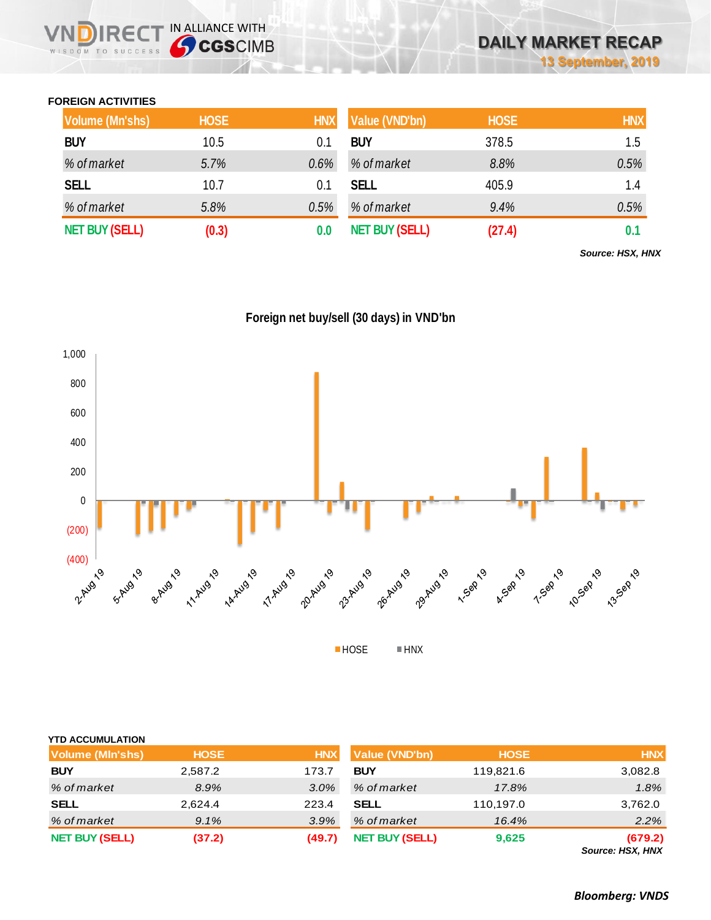## **FOREIGN ACTIVITIES**

WISDOM TO SUCCESS

 $R \in C$ 

IN ALLIANCE WITH

| Volume (Mn'shs)       | <b>HOSE</b> | <b>HNX</b> | Value (VND'bn)        | <b>HOSE</b> | <b>HNX</b> |
|-----------------------|-------------|------------|-----------------------|-------------|------------|
| <b>BUY</b>            | 10.5        | 0.1        | <b>BUY</b>            | 378.5       | 1.5        |
| % of market           | 5.7%        | $0.6\%$    | % of market           | 8.8%        | 0.5%       |
| <b>SELL</b>           | 10.7        | 0.1        | <b>SELL</b>           | 405.9       | 1.4        |
| % of market           | 5.8%        | 0.5%       | % of market           | 9.4%        | 0.5%       |
| <b>NET BUY (SELL)</b> | (0.3)       |            | <b>NET BUY (SELL)</b> | (27.4)      | 0.1        |

*Source: HSX, HNX*





| <b>YTD ACCUMULATION</b> |             |            |                       |             |                             |
|-------------------------|-------------|------------|-----------------------|-------------|-----------------------------|
| <b>Volume (MIn'shs)</b> | <b>HOSE</b> | <b>HNX</b> | <b>Value (VND'bn)</b> | <b>HOSE</b> | <b>HNX</b>                  |
| <b>BUY</b>              | 2,587.2     | 173.7      | <b>BUY</b>            | 119,821.6   | 3,082.8                     |
| % of market             | 8.9%        | $3.0\%$    | % of market           | 17.8%       | 1.8%                        |
| <b>SELL</b>             | 2,624.4     | 223.4      | <b>SELL</b>           | 110,197.0   | 3,762.0                     |
| % of market             | 9.1%        | 3.9%       | % of market           | 16.4%       | 2.2%                        |
| <b>NET BUY (SELL)</b>   | (37.2)      | (49.7)     | <b>NET BUY (SELL)</b> | 9,625       | (679.2)<br>Source: HSX, HNX |

*Bloomberg: VNDS*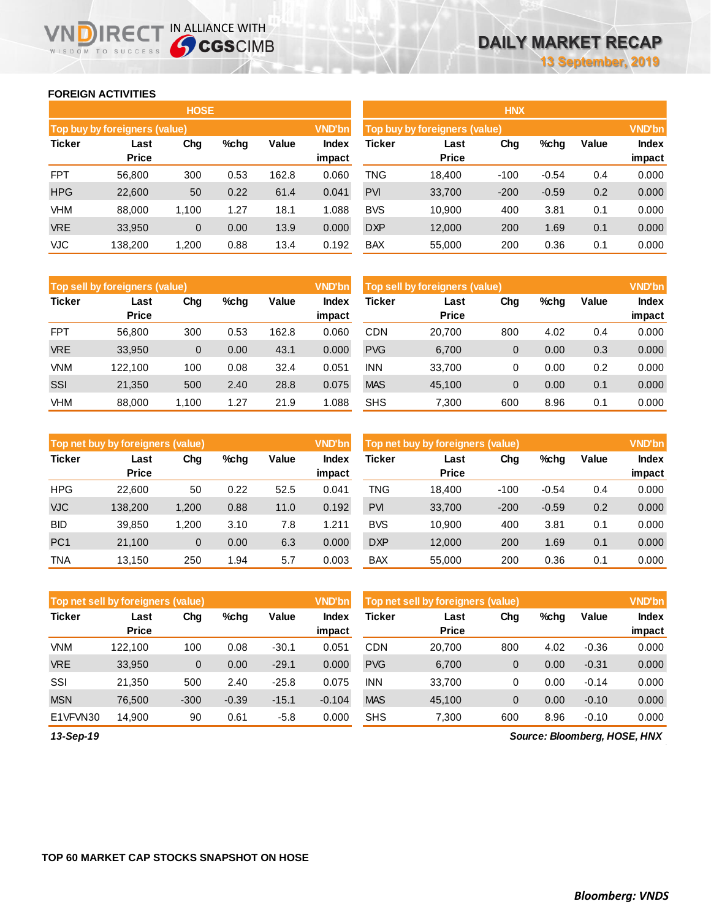### **FOREIGN ACTIVITIES**

WISDOM TO SUCCESS

ND

|               |                               | <b>HOSE</b>  |      |       |               |                                                |              | <b>HNX</b> |         |       |        |
|---------------|-------------------------------|--------------|------|-------|---------------|------------------------------------------------|--------------|------------|---------|-------|--------|
|               | Top buy by foreigners (value) |              |      |       | <b>VND'bn</b> | <b>VND'bn</b><br>Top buy by foreigners (value) |              |            |         |       |        |
| <b>Ticker</b> | Last                          | Chg          | %chg | Value | <b>Index</b>  | Ticker                                         | Last         | Chg        | %chg    | Value | Index  |
|               | <b>Price</b>                  |              |      |       | impact        |                                                | <b>Price</b> |            |         |       | impact |
| <b>FPT</b>    | 56,800                        | 300          | 0.53 | 162.8 | 0.060         | TNG                                            | 18,400       | $-100$     | $-0.54$ | 0.4   | 0.000  |
| <b>HPG</b>    | 22,600                        | 50           | 0.22 | 61.4  | 0.041         | <b>PVI</b>                                     | 33,700       | $-200$     | $-0.59$ | 0.2   | 0.000  |
| VHM           | 88,000                        | 1,100        | 1.27 | 18.1  | 1.088         | <b>BVS</b>                                     | 10,900       | 400        | 3.81    | 0.1   | 0.000  |
| <b>VRE</b>    | 33,950                        | $\mathbf{0}$ | 0.00 | 13.9  | 0.000         | <b>DXP</b>                                     | 12,000       | 200        | 1.69    | 0.1   | 0.000  |
| VJC           | 138,200                       | 1,200        | 0.88 | 13.4  | 0.192         | <b>BAX</b>                                     | 55,000       | 200        | 0.36    | 0.1   | 0.000  |
|               |                               |              |      |       |               |                                                |              |            |         |       |        |

**IRECT IN ALLIANCE WITH** 

|            |                               | <b>HOSE</b>  |      |       |               | <b>HNX</b> |                               |        |         |       |               |
|------------|-------------------------------|--------------|------|-------|---------------|------------|-------------------------------|--------|---------|-------|---------------|
|            | Top buy by foreigners (value) |              |      |       | <b>VND'bn</b> |            | Top buy by foreigners (value) |        |         |       | <b>VND'bn</b> |
| Ticker     | Last                          | Chg          | %chg | Value | Index         | Ticker     | Last                          | Chg    | %chg    | Value | <b>Index</b>  |
|            | <b>Price</b>                  |              |      |       | impact        |            | <b>Price</b>                  |        |         |       | impact        |
| <b>FPT</b> | 56,800                        | 300          | 0.53 | 162.8 | 0.060         | TNG        | 18.400                        | $-100$ | $-0.54$ | 0.4   | 0.000         |
| <b>HPG</b> | 22,600                        | 50           | 0.22 | 61.4  | 0.041         | <b>PVI</b> | 33,700                        | $-200$ | $-0.59$ | 0.2   | 0.000         |
| VHM        | 88.000                        | 1.100        | 1.27 | 18.1  | 1.088         | <b>BVS</b> | 10,900                        | 400    | 3.81    | 0.1   | 0.000         |
| <b>VRE</b> | 33,950                        | $\mathbf{0}$ | 0.00 | 13.9  | 0.000         | <b>DXP</b> | 12,000                        | 200    | 1.69    | 0.1   | 0.000         |
| <b>VJC</b> | 138,200                       | 1,200        | 0.88 | 13.4  | 0.192         | <b>BAX</b> | 55,000                        | 200    | 0.36    | 0.1   | 0.000         |

|            | Top sell by foreigners (value) |              |       |       | <b>VND'bn</b>          | Top sell by foreigners (value) |                      |     |      |       | <b>VND'bn</b>          |
|------------|--------------------------------|--------------|-------|-------|------------------------|--------------------------------|----------------------|-----|------|-------|------------------------|
| Ticker     | Last<br><b>Price</b>           | Chg          | %chg  | Value | <b>Index</b><br>impact | <b>Ticker</b>                  | Last<br><b>Price</b> | Chg | %chg | Value | <b>Index</b><br>impact |
| <b>FPT</b> | 56,800                         | 300          | 0.53  | 162.8 | 0.060                  | <b>CDN</b>                     | 20.700               | 800 | 4.02 | 0.4   | 0.000                  |
| <b>VRE</b> | 33,950                         | $\mathbf{0}$ | 0.00  | 43.1  | 0.000                  | <b>PVG</b>                     | 6,700                | 0   | 0.00 | 0.3   | 0.000                  |
| <b>VNM</b> | 122.100                        | 100          | 0.08  | 32.4  | 0.051                  | <b>INN</b>                     | 33,700               | 0   | 0.00 | 0.2   | 0.000                  |
| SSI        | 21,350                         | 500          | 2.40  | 28.8  | 0.075                  | <b>MAS</b>                     | 45.100               | 0   | 0.00 | 0.1   | 0.000                  |
| VHM        | 88,000                         | 1.100        | 27. ا | 21.9  | .088                   | <b>SHS</b>                     | 7.300                | 600 | 8.96 | 0.1   | 0.000                  |

|                 | <b>VND'bn</b><br>Top net buy by foreigners (value) |        |         |       |                 |            | <b>VND'bn</b><br>Top net buy by foreigners (value) |        |         |       |                        |
|-----------------|----------------------------------------------------|--------|---------|-------|-----------------|------------|----------------------------------------------------|--------|---------|-------|------------------------|
| <b>Ticker</b>   | Last<br><b>Price</b>                               | Chg    | $%$ chq | Value | Index<br>impact | Ticker     | Last<br><b>Price</b>                               | Chg    | %chg    | Value | <b>Index</b><br>impact |
| <b>HPG</b>      | 22.600                                             | 50     | 0.22    | 52.5  | 0.041           | TNG        | 18.400                                             | $-100$ | $-0.54$ | 0.4   | 0.000                  |
| <b>VJC</b>      | 138.200                                            | 1,200  | 0.88    | 11.0  | 0.192           | <b>PVI</b> | 33,700                                             | $-200$ | $-0.59$ | 0.2   | 0.000                  |
| <b>BID</b>      | 39,850                                             | 200. ا | 3.10    | 7.8   | 1.211           | <b>BVS</b> | 10.900                                             | 400    | 3.81    | 0.1   | 0.000                  |
| PC <sub>1</sub> | 21,100                                             | 0      | 0.00    | 6.3   | 0.000           | <b>DXP</b> | 12,000                                             | 200    | 1.69    | 0.1   | 0.000                  |
| <b>TNA</b>      | 13.150                                             | 250    | 1.94    | 5.7   | 0.003           | <b>BAX</b> | 55.000                                             | 200    | 0.36    | 0.1   | 0.000                  |

|               | Top net sell by foreigners (value) |        |         |         | <b>VND'bn</b>   | <b>VND'bn</b><br>Top net sell by foreigners (value) |                      |     |      |         |                               |
|---------------|------------------------------------|--------|---------|---------|-----------------|-----------------------------------------------------|----------------------|-----|------|---------|-------------------------------|
| <b>Ticker</b> | Last<br><b>Price</b>               | Chg    | %chg    | Value   | Index<br>impact | Ticker                                              | Last<br><b>Price</b> | Chg | %chg | Value   | <b>Index</b><br>impact        |
| <b>VNM</b>    | 122.100                            | 100    | 0.08    | $-30.1$ | 0.051           | <b>CDN</b>                                          | 20.700               | 800 | 4.02 | $-0.36$ | 0.000                         |
| <b>VRE</b>    | 33,950                             | 0      | 0.00    | $-29.1$ | 0.000           | <b>PVG</b>                                          | 6,700                | 0   | 0.00 | $-0.31$ | 0.000                         |
| SSI           | 21.350                             | 500    | 2.40    | $-25.8$ | 0.075           | <b>INN</b>                                          | 33.700               | 0   | 0.00 | $-0.14$ | 0.000                         |
| <b>MSN</b>    | 76.500                             | $-300$ | $-0.39$ | $-15.1$ | $-0.104$        | <b>MAS</b>                                          | 45,100               | 0   | 0.00 | $-0.10$ | 0.000                         |
| E1VFVN30      | 14,900                             | 90     | 0.61    | $-5.8$  | 0.000           | <b>SHS</b>                                          | 7,300                | 600 | 8.96 | $-0.10$ | 0.000                         |
| $42$ Can $40$ |                                    |        |         |         |                 |                                                     |                      |     |      |         | Course: Pleamborn, HOCE, UNIV |

*13-Sep-19*

*Source: Bloomberg, HOSE, HNX*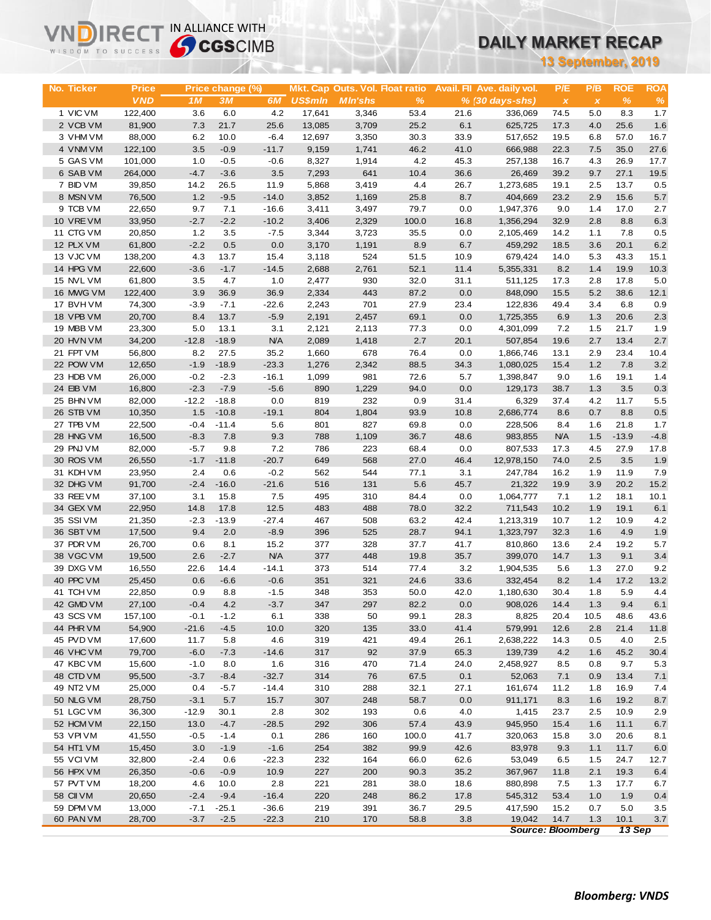| 13 September, 2019<br>No. Ticker<br><b>Price</b><br>Price change (%)<br>Mkt. Cap Outs. Vol. Float ratio<br>Avail. Fil Ave. daily vol.<br>P/E<br>P/B<br><b>ROE</b><br><b>ROA</b><br><b>VND</b><br>$\%$<br>$\%$<br>3M<br>6M<br><b>US\$mln</b><br><b>MIn'shs</b><br>%<br>1M<br>$% (30 days-shs)$<br>$\pmb{\chi}$<br>$\boldsymbol{x}$<br>1 VIC VM<br>4.2<br>122,400<br>3.6<br>6.0<br>17,641<br>3,346<br>53.4<br>21.6<br>336,069<br>74.5<br>5.0<br>8.3<br>1.7<br>6.1<br>1.6<br>2 VCB VM<br>81,900<br>7.3<br>21.7<br>25.6<br>13,085<br>3,709<br>25.2<br>625,725<br>17.3<br>4.0<br>25.6<br>3 VHM VM<br>88,000<br>6.2<br>10.0<br>$-6.4$<br>12,697<br>3,350<br>30.3<br>33.9<br>19.5<br>6.8<br>57.0<br>16.7<br>517,652<br>3.5<br>4 VNM VM<br>$-0.9$<br>$-11.7$<br>1,741<br>46.2<br>41.0<br>22.3<br>7.5<br>35.0<br>27.6<br>122,100<br>9,159<br>666,988<br>5 GAS VM<br>101,000<br>1.0<br>$-0.5$<br>8,327<br>4.2<br>45.3<br>16.7<br>4.3<br>26.9<br>17.7<br>$-0.6$<br>1,914<br>257,138<br>6 SAB VM<br>264,000<br>$-4.7$<br>$-3.6$<br>3.5<br>7,293<br>641<br>10.4<br>36.6<br>26,469<br>39.2<br>9.7<br>27.1<br>19.5<br>7 BID VM<br>39,850<br>14.2<br>26.5<br>11.9<br>5,868<br>3,419<br>4.4<br>26.7<br>1,273,685<br>19.1<br>2.5<br>13.7<br>0.5<br>8 MSN VM<br>76,500<br>1.2<br>$-9.5$<br>$-14.0$<br>3,852<br>1,169<br>25.8<br>8.7<br>404,669<br>23.2<br>2.9<br>15.6<br>5.7<br>9 TCB VM<br>22,650<br>9.7<br>7.1<br>$-16.6$<br>3,411<br>3,497<br>79.7<br>0.0<br>1,947,376<br>9.0<br>1.4<br>17.0<br>2.7<br>10 VRE VM<br>33,950<br>$-2.7$<br>$-2.2$<br>$-10.2$<br>3,406<br>2,329<br>100.0<br>1,356,294<br>32.9<br>2.8<br>8.8<br>6.3<br>16.8<br>11 CTG VM<br>20,850<br>1.2<br>3.5<br>$-7.5$<br>3,344<br>3,723<br>35.5<br>0.0<br>2,105,469<br>14.2<br>7.8<br>0.5<br>1.1<br>12 PLX VM<br>61,800<br>$-2.2$<br>0.5<br>0.0<br>3,170<br>8.9<br>6.7<br>3.6<br>20.1<br>6.2<br>1,191<br>459,292<br>18.5<br>13 VJC VM<br>138,200<br>4.3<br>13.7<br>15.4<br>3,118<br>524<br>51.5<br>10.9<br>14.0<br>5.3<br>43.3<br>15.1<br>679,424<br>14 HPG VM<br>10.3<br>22,600<br>$-3.6$<br>$-1.7$<br>$-14.5$<br>2,688<br>2,761<br>52.1<br>11.4<br>5,355,331<br>8.2<br>1.4<br>19.9<br>5.0<br>15 NVL VM<br>61,800<br>3.5<br>4.7<br>1.0<br>2,477<br>930<br>32.0<br>31.1<br>17.3<br>2.8<br>17.8<br>511,125<br>0.0<br>38.6<br>16 MWG VM<br>122,400<br>3.9<br>36.9<br>36.9<br>2,334<br>443<br>87.2<br>848,090<br>15.5<br>5.2<br>12.1<br>$-7.1$<br>17 BVH VM<br>74,300<br>$-3.9$<br>$-22.6$<br>2,243<br>701<br>27.9<br>23.4<br>122,836<br>49.4<br>3.4<br>6.8<br>0.9<br>18 VPB VM<br>20,700<br>8.4<br>13.7<br>$-5.9$<br>2,191<br>2,457<br>69.1<br>0.0<br>1,725,355<br>6.9<br>1.3<br>20.6<br>2.3<br>19 MBB VM<br>23,300<br>5.0<br>13.1<br>3.1<br>2,121<br>2,113<br>77.3<br>0.0<br>4,301,099<br>7.2<br>1.5<br>21.7<br>1.9<br>2.7<br>20 HVN VM<br>34,200<br>$-12.8$<br>$-18.9$<br><b>N/A</b><br>2,089<br>20.1<br>507,854<br>19.6<br>2.7<br>13.4<br>2.7<br>1,418<br>21 FPT VM<br>56,800<br>8.2<br>27.5<br>35.2<br>1,660<br>678<br>76.4<br>0.0<br>1,866,746<br>13.1<br>2.9<br>23.4<br>10.4<br>22 POW VM<br>12,650<br>$-1.9$<br>$-18.9$<br>$-23.3$<br>1,276<br>2,342<br>88.5<br>34.3<br>1,080,025<br>15.4<br>1.2<br>7.8<br>3.2<br>23 HDB VM<br>26,000<br>$-0.2$<br>$-2.3$<br>$-16.1$<br>1,099<br>981<br>72.6<br>5.7<br>1.6<br>19.1<br>1.4<br>1,398,847<br>9.0<br>24 EIB VM<br>16,800<br>$-2.3$<br>$-7.9$<br>$-5.6$<br>890<br>1,229<br>94.0<br>0.0<br>129,173<br>38.7<br>1.3<br>3.5<br>0.3<br>819<br>25 BHN VM<br>82,000<br>$-12.2$<br>$-18.8$<br>0.0<br>232<br>0.9<br>31.4<br>6,329<br>37.4<br>4.2<br>11.7<br>5.5<br>26 STB VM<br>10,350<br>1.5<br>$-10.8$<br>$-19.1$<br>804<br>1,804<br>93.9<br>10.8<br>2,686,774<br>0.7<br>8.8<br>$0.5\,$<br>8.6<br>27 TPB VM<br>22,500<br>$-0.4$<br>$-11.4$<br>5.6<br>801<br>827<br>69.8<br>0.0<br>8.4<br>1.6<br>21.8<br>1.7<br>228,506<br>28 HNG VM<br>16,500<br>$-8.3$<br>7.8<br>9.3<br>788<br>1,109<br>36.7<br>48.6<br><b>N/A</b><br>1.5<br>$-13.9$<br>$-4.8$<br>983,855<br>29 PNJ VM<br>82,000<br>$-5.7$<br>9.8<br>7.2<br>786<br>223<br>68.4<br>807,533<br>4.5<br>27.9<br>17.8<br>0.0<br>17.3<br>30 ROS VM<br>$-11.8$<br>568<br>26,550<br>$-1.7$<br>$-20.7$<br>649<br>27.0<br>46.4<br>12,978,150<br>74.0<br>2.5<br>3.5<br>1.9<br>562<br>7.9<br>31 KDH VM<br>2.4<br>0.6<br>$-0.2$<br>544<br>77.1<br>3.1<br>16.2<br>11.9<br>23,950<br>247,784<br>1.9<br>$-16.0$<br>5.6<br>3.9<br>20.2<br>32 DHG VM<br>91,700<br>$-2.4$<br>$-21.6$<br>516<br>131<br>45.7<br>21,322<br>19.9<br>15.2<br>33 REE VM<br>495<br>37,100<br>3.1<br>15.8<br>7.5<br>310<br>84.4<br>0.0<br>1,064,777<br>7.1<br>1.2<br>18.1<br>10.1<br>34 GEX VM<br>22,950<br>14.8<br>17.8<br>12.5<br>483<br>488<br>78.0<br>32.2<br>711,543<br>10.2<br>1.9<br>19.1<br>6.1<br>35 SSIVM<br>21,350<br>$-2.3$<br>$-13.9$<br>$-27.4$<br>467<br>508<br>63.2<br>42.4<br>1,213,319<br>10.7<br>1.2<br>10.9<br>4.2<br>36 SBT VM<br>17,500<br>9.4<br>2.0<br>$-8.9$<br>396<br>525<br>28.7<br>94.1<br>1,323,797<br>1.6<br>4.9<br>1.9<br>32.3<br>5.7<br>37 PDR VM<br>26,700<br>8.1<br>15.2<br>377<br>328<br>37.7<br>41.7<br>2.4<br>19.2<br>0.6<br>810,860<br>13.6<br>N/A<br>377<br>3.4<br>38 VGC VM<br>19,500<br>2.6<br>$-2.7$<br>448<br>19.8<br>35.7<br>14.7<br>1.3<br>9.1<br>399,070<br>39 DXG VM<br>16,550<br>$-14.1$<br>22.6<br>14.4<br>373<br>514<br>77.4<br>3.2<br>1,904,535<br>27.0<br>9.2<br>5.6<br>1.3<br>40 PPC VM<br>25,450<br>0.6<br>$-6.6$<br>$-0.6$<br>351<br>321<br>24.6<br>33.6<br>332,454<br>8.2<br>17.2<br>13.2<br>1.4<br>41 TCH VM<br>22,850<br>0.9<br>8.8<br>$-1.5$<br>348<br>353<br>50.0<br>42.0<br>1,180,630<br>30.4<br>1.8<br>5.9<br>4.4<br>42 GMD VM<br>27,100<br>$-0.4$<br>4.2<br>$-3.7$<br>347<br>297<br>82.2<br>0.0<br>1.3<br>9.4<br>908,026<br>14.4<br>6.1<br>43 SCS VM<br>338<br>99.1<br>28.3<br>48.6<br>43.6<br>157,100<br>$-0.1$<br>$-1.2$<br>6.1<br>50<br>8,825<br>20.4<br>10.5<br>44 PHR VM<br>54,900<br>41.4<br>$-21.6$<br>$-4.5$<br>10.0<br>320<br>135<br>33.0<br>579,991<br>12.6<br>2.8<br>21.4<br>11.8<br>45 PVD VM<br>17,600<br>11.7<br>5.8<br>4.6<br>319<br>421<br>49.4<br>26.1<br>2,638,222<br>14.3<br>0.5<br>4.0<br>2.5<br>46 VHC VM<br>79,700<br>$-6.0$<br>$-7.3$<br>$-14.6$<br>317<br>92<br>37.9<br>139,739<br>4.2<br>1.6<br>45.2<br>30.4<br>65.3<br>47 KBC VM<br>15,600<br>$-1.0$<br>316<br>71.4<br>24.0<br>2,458,927<br>8.0<br>1.6<br>470<br>8.5<br>0.8<br>9.7<br>5.3<br>48 CTD VM<br>95,500<br>$-3.7$<br>$-32.7$<br>314<br>76<br>67.5<br>0.1<br>7.1<br>0.9<br>13.4<br>$-8.4$<br>52,063<br>7.1<br>49 NT2 VM<br>25,000<br>0.4<br>$-5.7$<br>$-14.4$<br>310<br>288<br>32.1<br>27.1<br>11.2<br>16.9<br>7.4<br>161,674<br>1.8<br>50 NLG VM<br>28,750<br>$-3.1$<br>307<br>58.7<br>0.0<br>8.3<br>1.6<br>19.2<br>5.7<br>15.7<br>248<br>911,171<br>8.7<br>51 LGC VM<br>36,300<br>$-12.9$<br>30.1<br>2.8<br>302<br>193<br>0.6<br>4.0<br>1,415<br>23.7<br>2.5<br>10.9<br>2.9<br>52 HCM VM<br>22,150<br>13.0<br>$-4.7$<br>$-28.5$<br>292<br>57.4<br>43.9<br>11.1<br>306<br>945,950<br>15.4<br>1.6<br>6.7<br>53 VPI VM<br>41,550<br>0.1<br>286<br>100.0<br>41.7<br>$-0.5$<br>$-1.4$<br>160<br>320,063<br>15.8<br>3.0<br>20.6<br>8.1<br>54 HT1 VM<br>3.0<br>$-1.9$<br>$-1.6$<br>254<br>382<br>99.9<br>42.6<br>83,978<br>11.7<br>15,450<br>9.3<br>1.1<br>6.0<br>55 VCI VM<br>32,800<br>$-22.3$<br>232<br>62.6<br>24.7<br>12.7<br>$-2.4$<br>0.6<br>164<br>66.0<br>53,049<br>6.5<br>$1.5$<br>56 HPX VM<br>26,350<br>$-0.6$<br>$-0.9$<br>10.9<br>227<br>200<br>90.3<br>35.2<br>2.1<br>19.3<br>367,967<br>11.8<br>6.4<br>57 PVT VM<br>18,200<br>2.8<br>221<br>38.0<br>18.6<br>17.7<br>4.6<br>10.0<br>281<br>880,898<br>7.5<br>1.3<br>6.7<br>58 CII VM<br>20,650<br>$-9.4$<br>220<br>17.8<br>$-2.4$<br>$-16.4$<br>248<br>86.2<br>545,312<br>53.4<br>1.0<br>1.9<br>0.4<br>59 DPM VM<br>13,000<br>$-36.6$<br>219<br>$-7.1$<br>$-25.1$<br>391<br>36.7<br>29.5<br>417,590<br>15.2<br>0.7<br>5.0<br>3.5<br>60 PAN VM<br>28,700<br>$-3.7$<br>$-2.5$<br>$-22.3$<br>210<br>170<br>3.8<br>19,042<br>14.7<br>10.1<br>3.7<br>58.8<br>1.3<br><b>Source: Bloomberg</b><br>13 Sep | <b>Sy CGS</b> CIMB<br>WISDOM TO SUCCESS |  |  |  |  |  |  |  | <u>DAILT MARKET RECAP</u> |  |  |  |  |  |
|-------------------------------------------------------------------------------------------------------------------------------------------------------------------------------------------------------------------------------------------------------------------------------------------------------------------------------------------------------------------------------------------------------------------------------------------------------------------------------------------------------------------------------------------------------------------------------------------------------------------------------------------------------------------------------------------------------------------------------------------------------------------------------------------------------------------------------------------------------------------------------------------------------------------------------------------------------------------------------------------------------------------------------------------------------------------------------------------------------------------------------------------------------------------------------------------------------------------------------------------------------------------------------------------------------------------------------------------------------------------------------------------------------------------------------------------------------------------------------------------------------------------------------------------------------------------------------------------------------------------------------------------------------------------------------------------------------------------------------------------------------------------------------------------------------------------------------------------------------------------------------------------------------------------------------------------------------------------------------------------------------------------------------------------------------------------------------------------------------------------------------------------------------------------------------------------------------------------------------------------------------------------------------------------------------------------------------------------------------------------------------------------------------------------------------------------------------------------------------------------------------------------------------------------------------------------------------------------------------------------------------------------------------------------------------------------------------------------------------------------------------------------------------------------------------------------------------------------------------------------------------------------------------------------------------------------------------------------------------------------------------------------------------------------------------------------------------------------------------------------------------------------------------------------------------------------------------------------------------------------------------------------------------------------------------------------------------------------------------------------------------------------------------------------------------------------------------------------------------------------------------------------------------------------------------------------------------------------------------------------------------------------------------------------------------------------------------------------------------------------------------------------------------------------------------------------------------------------------------------------------------------------------------------------------------------------------------------------------------------------------------------------------------------------------------------------------------------------------------------------------------------------------------------------------------------------------------------------------------------------------------------------------------------------------------------------------------------------------------------------------------------------------------------------------------------------------------------------------------------------------------------------------------------------------------------------------------------------------------------------------------------------------------------------------------------------------------------------------------------------------------------------------------------------------------------------------------------------------------------------------------------------------------------------------------------------------------------------------------------------------------------------------------------------------------------------------------------------------------------------------------------------------------------------------------------------------------------------------------------------------------------------------------------------------------------------------------------------------------------------------------------------------------------------------------------------------------------------------------------------------------------------------------------------------------------------------------------------------------------------------------------------------------------------------------------------------------------------------------------------------------------------------------------------------------------------------------------------------------------------------------------------------------------------------------------------------------------------------------------------------------------------------------------------------------------------------------------------------------------------------------------------------------------------------------------------------------------------------------------------------------------------------------------------------------------------------------------------------------------------------------------------------------------------------------------------------------------------------------------------------------------------------------------------------------------------------------------------------------------------------------------------------------------------------------------------------------------------------------------------------------------------------------------------------------------------------------------------------------------------------------------------------------------------------------------------------------------------------------------------------------------------------------------------------------------------------------------------------------------------------------------------------------------------------------------------------------------------------------------------------------------------------------------------------------------------------------------------------------------------------------------------------------------------------------------------------------------------------------------------------------------------------------------------------------------------------------------------------------------------------------------------------------------------------------------------------------------------------------------------------------------------------------------------------------------------------------------------------------------------------------------------------------------------------------------------------------------------------------------------------------------|-----------------------------------------|--|--|--|--|--|--|--|---------------------------|--|--|--|--|--|
|                                                                                                                                                                                                                                                                                                                                                                                                                                                                                                                                                                                                                                                                                                                                                                                                                                                                                                                                                                                                                                                                                                                                                                                                                                                                                                                                                                                                                                                                                                                                                                                                                                                                                                                                                                                                                                                                                                                                                                                                                                                                                                                                                                                                                                                                                                                                                                                                                                                                                                                                                                                                                                                                                                                                                                                                                                                                                                                                                                                                                                                                                                                                                                                                                                                                                                                                                                                                                                                                                                                                                                                                                                                                                                                                                                                                                                                                                                                                                                                                                                                                                                                                                                                                                                                                                                                                                                                                                                                                                                                                                                                                                                                                                                                                                                                                                                                                                                                                                                                                                                                                                                                                                                                                                                                                                                                                                                                                                                                                                                                                                                                                                                                                                                                                                                                                                                                                                                                                                                                                                                                                                                                                                                                                                                                                                                                                                                                                                                                                                                                                                                                                                                                                                                                                                                                                                                                                                                                                                                                                                                                                                                                                                                                                                                                                                                                                                                                                                                                                                                                                                                                                                                                                                                                                                                                                                                                                                                                                                                                                             |                                         |  |  |  |  |  |  |  |                           |  |  |  |  |  |
|                                                                                                                                                                                                                                                                                                                                                                                                                                                                                                                                                                                                                                                                                                                                                                                                                                                                                                                                                                                                                                                                                                                                                                                                                                                                                                                                                                                                                                                                                                                                                                                                                                                                                                                                                                                                                                                                                                                                                                                                                                                                                                                                                                                                                                                                                                                                                                                                                                                                                                                                                                                                                                                                                                                                                                                                                                                                                                                                                                                                                                                                                                                                                                                                                                                                                                                                                                                                                                                                                                                                                                                                                                                                                                                                                                                                                                                                                                                                                                                                                                                                                                                                                                                                                                                                                                                                                                                                                                                                                                                                                                                                                                                                                                                                                                                                                                                                                                                                                                                                                                                                                                                                                                                                                                                                                                                                                                                                                                                                                                                                                                                                                                                                                                                                                                                                                                                                                                                                                                                                                                                                                                                                                                                                                                                                                                                                                                                                                                                                                                                                                                                                                                                                                                                                                                                                                                                                                                                                                                                                                                                                                                                                                                                                                                                                                                                                                                                                                                                                                                                                                                                                                                                                                                                                                                                                                                                                                                                                                                                                             |                                         |  |  |  |  |  |  |  |                           |  |  |  |  |  |
|                                                                                                                                                                                                                                                                                                                                                                                                                                                                                                                                                                                                                                                                                                                                                                                                                                                                                                                                                                                                                                                                                                                                                                                                                                                                                                                                                                                                                                                                                                                                                                                                                                                                                                                                                                                                                                                                                                                                                                                                                                                                                                                                                                                                                                                                                                                                                                                                                                                                                                                                                                                                                                                                                                                                                                                                                                                                                                                                                                                                                                                                                                                                                                                                                                                                                                                                                                                                                                                                                                                                                                                                                                                                                                                                                                                                                                                                                                                                                                                                                                                                                                                                                                                                                                                                                                                                                                                                                                                                                                                                                                                                                                                                                                                                                                                                                                                                                                                                                                                                                                                                                                                                                                                                                                                                                                                                                                                                                                                                                                                                                                                                                                                                                                                                                                                                                                                                                                                                                                                                                                                                                                                                                                                                                                                                                                                                                                                                                                                                                                                                                                                                                                                                                                                                                                                                                                                                                                                                                                                                                                                                                                                                                                                                                                                                                                                                                                                                                                                                                                                                                                                                                                                                                                                                                                                                                                                                                                                                                                                                             |                                         |  |  |  |  |  |  |  |                           |  |  |  |  |  |
|                                                                                                                                                                                                                                                                                                                                                                                                                                                                                                                                                                                                                                                                                                                                                                                                                                                                                                                                                                                                                                                                                                                                                                                                                                                                                                                                                                                                                                                                                                                                                                                                                                                                                                                                                                                                                                                                                                                                                                                                                                                                                                                                                                                                                                                                                                                                                                                                                                                                                                                                                                                                                                                                                                                                                                                                                                                                                                                                                                                                                                                                                                                                                                                                                                                                                                                                                                                                                                                                                                                                                                                                                                                                                                                                                                                                                                                                                                                                                                                                                                                                                                                                                                                                                                                                                                                                                                                                                                                                                                                                                                                                                                                                                                                                                                                                                                                                                                                                                                                                                                                                                                                                                                                                                                                                                                                                                                                                                                                                                                                                                                                                                                                                                                                                                                                                                                                                                                                                                                                                                                                                                                                                                                                                                                                                                                                                                                                                                                                                                                                                                                                                                                                                                                                                                                                                                                                                                                                                                                                                                                                                                                                                                                                                                                                                                                                                                                                                                                                                                                                                                                                                                                                                                                                                                                                                                                                                                                                                                                                                             |                                         |  |  |  |  |  |  |  |                           |  |  |  |  |  |
|                                                                                                                                                                                                                                                                                                                                                                                                                                                                                                                                                                                                                                                                                                                                                                                                                                                                                                                                                                                                                                                                                                                                                                                                                                                                                                                                                                                                                                                                                                                                                                                                                                                                                                                                                                                                                                                                                                                                                                                                                                                                                                                                                                                                                                                                                                                                                                                                                                                                                                                                                                                                                                                                                                                                                                                                                                                                                                                                                                                                                                                                                                                                                                                                                                                                                                                                                                                                                                                                                                                                                                                                                                                                                                                                                                                                                                                                                                                                                                                                                                                                                                                                                                                                                                                                                                                                                                                                                                                                                                                                                                                                                                                                                                                                                                                                                                                                                                                                                                                                                                                                                                                                                                                                                                                                                                                                                                                                                                                                                                                                                                                                                                                                                                                                                                                                                                                                                                                                                                                                                                                                                                                                                                                                                                                                                                                                                                                                                                                                                                                                                                                                                                                                                                                                                                                                                                                                                                                                                                                                                                                                                                                                                                                                                                                                                                                                                                                                                                                                                                                                                                                                                                                                                                                                                                                                                                                                                                                                                                                                             |                                         |  |  |  |  |  |  |  |                           |  |  |  |  |  |
|                                                                                                                                                                                                                                                                                                                                                                                                                                                                                                                                                                                                                                                                                                                                                                                                                                                                                                                                                                                                                                                                                                                                                                                                                                                                                                                                                                                                                                                                                                                                                                                                                                                                                                                                                                                                                                                                                                                                                                                                                                                                                                                                                                                                                                                                                                                                                                                                                                                                                                                                                                                                                                                                                                                                                                                                                                                                                                                                                                                                                                                                                                                                                                                                                                                                                                                                                                                                                                                                                                                                                                                                                                                                                                                                                                                                                                                                                                                                                                                                                                                                                                                                                                                                                                                                                                                                                                                                                                                                                                                                                                                                                                                                                                                                                                                                                                                                                                                                                                                                                                                                                                                                                                                                                                                                                                                                                                                                                                                                                                                                                                                                                                                                                                                                                                                                                                                                                                                                                                                                                                                                                                                                                                                                                                                                                                                                                                                                                                                                                                                                                                                                                                                                                                                                                                                                                                                                                                                                                                                                                                                                                                                                                                                                                                                                                                                                                                                                                                                                                                                                                                                                                                                                                                                                                                                                                                                                                                                                                                                                             |                                         |  |  |  |  |  |  |  |                           |  |  |  |  |  |
|                                                                                                                                                                                                                                                                                                                                                                                                                                                                                                                                                                                                                                                                                                                                                                                                                                                                                                                                                                                                                                                                                                                                                                                                                                                                                                                                                                                                                                                                                                                                                                                                                                                                                                                                                                                                                                                                                                                                                                                                                                                                                                                                                                                                                                                                                                                                                                                                                                                                                                                                                                                                                                                                                                                                                                                                                                                                                                                                                                                                                                                                                                                                                                                                                                                                                                                                                                                                                                                                                                                                                                                                                                                                                                                                                                                                                                                                                                                                                                                                                                                                                                                                                                                                                                                                                                                                                                                                                                                                                                                                                                                                                                                                                                                                                                                                                                                                                                                                                                                                                                                                                                                                                                                                                                                                                                                                                                                                                                                                                                                                                                                                                                                                                                                                                                                                                                                                                                                                                                                                                                                                                                                                                                                                                                                                                                                                                                                                                                                                                                                                                                                                                                                                                                                                                                                                                                                                                                                                                                                                                                                                                                                                                                                                                                                                                                                                                                                                                                                                                                                                                                                                                                                                                                                                                                                                                                                                                                                                                                                                             |                                         |  |  |  |  |  |  |  |                           |  |  |  |  |  |
|                                                                                                                                                                                                                                                                                                                                                                                                                                                                                                                                                                                                                                                                                                                                                                                                                                                                                                                                                                                                                                                                                                                                                                                                                                                                                                                                                                                                                                                                                                                                                                                                                                                                                                                                                                                                                                                                                                                                                                                                                                                                                                                                                                                                                                                                                                                                                                                                                                                                                                                                                                                                                                                                                                                                                                                                                                                                                                                                                                                                                                                                                                                                                                                                                                                                                                                                                                                                                                                                                                                                                                                                                                                                                                                                                                                                                                                                                                                                                                                                                                                                                                                                                                                                                                                                                                                                                                                                                                                                                                                                                                                                                                                                                                                                                                                                                                                                                                                                                                                                                                                                                                                                                                                                                                                                                                                                                                                                                                                                                                                                                                                                                                                                                                                                                                                                                                                                                                                                                                                                                                                                                                                                                                                                                                                                                                                                                                                                                                                                                                                                                                                                                                                                                                                                                                                                                                                                                                                                                                                                                                                                                                                                                                                                                                                                                                                                                                                                                                                                                                                                                                                                                                                                                                                                                                                                                                                                                                                                                                                                             |                                         |  |  |  |  |  |  |  |                           |  |  |  |  |  |
|                                                                                                                                                                                                                                                                                                                                                                                                                                                                                                                                                                                                                                                                                                                                                                                                                                                                                                                                                                                                                                                                                                                                                                                                                                                                                                                                                                                                                                                                                                                                                                                                                                                                                                                                                                                                                                                                                                                                                                                                                                                                                                                                                                                                                                                                                                                                                                                                                                                                                                                                                                                                                                                                                                                                                                                                                                                                                                                                                                                                                                                                                                                                                                                                                                                                                                                                                                                                                                                                                                                                                                                                                                                                                                                                                                                                                                                                                                                                                                                                                                                                                                                                                                                                                                                                                                                                                                                                                                                                                                                                                                                                                                                                                                                                                                                                                                                                                                                                                                                                                                                                                                                                                                                                                                                                                                                                                                                                                                                                                                                                                                                                                                                                                                                                                                                                                                                                                                                                                                                                                                                                                                                                                                                                                                                                                                                                                                                                                                                                                                                                                                                                                                                                                                                                                                                                                                                                                                                                                                                                                                                                                                                                                                                                                                                                                                                                                                                                                                                                                                                                                                                                                                                                                                                                                                                                                                                                                                                                                                                                             |                                         |  |  |  |  |  |  |  |                           |  |  |  |  |  |
|                                                                                                                                                                                                                                                                                                                                                                                                                                                                                                                                                                                                                                                                                                                                                                                                                                                                                                                                                                                                                                                                                                                                                                                                                                                                                                                                                                                                                                                                                                                                                                                                                                                                                                                                                                                                                                                                                                                                                                                                                                                                                                                                                                                                                                                                                                                                                                                                                                                                                                                                                                                                                                                                                                                                                                                                                                                                                                                                                                                                                                                                                                                                                                                                                                                                                                                                                                                                                                                                                                                                                                                                                                                                                                                                                                                                                                                                                                                                                                                                                                                                                                                                                                                                                                                                                                                                                                                                                                                                                                                                                                                                                                                                                                                                                                                                                                                                                                                                                                                                                                                                                                                                                                                                                                                                                                                                                                                                                                                                                                                                                                                                                                                                                                                                                                                                                                                                                                                                                                                                                                                                                                                                                                                                                                                                                                                                                                                                                                                                                                                                                                                                                                                                                                                                                                                                                                                                                                                                                                                                                                                                                                                                                                                                                                                                                                                                                                                                                                                                                                                                                                                                                                                                                                                                                                                                                                                                                                                                                                                                             |                                         |  |  |  |  |  |  |  |                           |  |  |  |  |  |
|                                                                                                                                                                                                                                                                                                                                                                                                                                                                                                                                                                                                                                                                                                                                                                                                                                                                                                                                                                                                                                                                                                                                                                                                                                                                                                                                                                                                                                                                                                                                                                                                                                                                                                                                                                                                                                                                                                                                                                                                                                                                                                                                                                                                                                                                                                                                                                                                                                                                                                                                                                                                                                                                                                                                                                                                                                                                                                                                                                                                                                                                                                                                                                                                                                                                                                                                                                                                                                                                                                                                                                                                                                                                                                                                                                                                                                                                                                                                                                                                                                                                                                                                                                                                                                                                                                                                                                                                                                                                                                                                                                                                                                                                                                                                                                                                                                                                                                                                                                                                                                                                                                                                                                                                                                                                                                                                                                                                                                                                                                                                                                                                                                                                                                                                                                                                                                                                                                                                                                                                                                                                                                                                                                                                                                                                                                                                                                                                                                                                                                                                                                                                                                                                                                                                                                                                                                                                                                                                                                                                                                                                                                                                                                                                                                                                                                                                                                                                                                                                                                                                                                                                                                                                                                                                                                                                                                                                                                                                                                                                             |                                         |  |  |  |  |  |  |  |                           |  |  |  |  |  |
|                                                                                                                                                                                                                                                                                                                                                                                                                                                                                                                                                                                                                                                                                                                                                                                                                                                                                                                                                                                                                                                                                                                                                                                                                                                                                                                                                                                                                                                                                                                                                                                                                                                                                                                                                                                                                                                                                                                                                                                                                                                                                                                                                                                                                                                                                                                                                                                                                                                                                                                                                                                                                                                                                                                                                                                                                                                                                                                                                                                                                                                                                                                                                                                                                                                                                                                                                                                                                                                                                                                                                                                                                                                                                                                                                                                                                                                                                                                                                                                                                                                                                                                                                                                                                                                                                                                                                                                                                                                                                                                                                                                                                                                                                                                                                                                                                                                                                                                                                                                                                                                                                                                                                                                                                                                                                                                                                                                                                                                                                                                                                                                                                                                                                                                                                                                                                                                                                                                                                                                                                                                                                                                                                                                                                                                                                                                                                                                                                                                                                                                                                                                                                                                                                                                                                                                                                                                                                                                                                                                                                                                                                                                                                                                                                                                                                                                                                                                                                                                                                                                                                                                                                                                                                                                                                                                                                                                                                                                                                                                                             |                                         |  |  |  |  |  |  |  |                           |  |  |  |  |  |
|                                                                                                                                                                                                                                                                                                                                                                                                                                                                                                                                                                                                                                                                                                                                                                                                                                                                                                                                                                                                                                                                                                                                                                                                                                                                                                                                                                                                                                                                                                                                                                                                                                                                                                                                                                                                                                                                                                                                                                                                                                                                                                                                                                                                                                                                                                                                                                                                                                                                                                                                                                                                                                                                                                                                                                                                                                                                                                                                                                                                                                                                                                                                                                                                                                                                                                                                                                                                                                                                                                                                                                                                                                                                                                                                                                                                                                                                                                                                                                                                                                                                                                                                                                                                                                                                                                                                                                                                                                                                                                                                                                                                                                                                                                                                                                                                                                                                                                                                                                                                                                                                                                                                                                                                                                                                                                                                                                                                                                                                                                                                                                                                                                                                                                                                                                                                                                                                                                                                                                                                                                                                                                                                                                                                                                                                                                                                                                                                                                                                                                                                                                                                                                                                                                                                                                                                                                                                                                                                                                                                                                                                                                                                                                                                                                                                                                                                                                                                                                                                                                                                                                                                                                                                                                                                                                                                                                                                                                                                                                                                             |                                         |  |  |  |  |  |  |  |                           |  |  |  |  |  |
|                                                                                                                                                                                                                                                                                                                                                                                                                                                                                                                                                                                                                                                                                                                                                                                                                                                                                                                                                                                                                                                                                                                                                                                                                                                                                                                                                                                                                                                                                                                                                                                                                                                                                                                                                                                                                                                                                                                                                                                                                                                                                                                                                                                                                                                                                                                                                                                                                                                                                                                                                                                                                                                                                                                                                                                                                                                                                                                                                                                                                                                                                                                                                                                                                                                                                                                                                                                                                                                                                                                                                                                                                                                                                                                                                                                                                                                                                                                                                                                                                                                                                                                                                                                                                                                                                                                                                                                                                                                                                                                                                                                                                                                                                                                                                                                                                                                                                                                                                                                                                                                                                                                                                                                                                                                                                                                                                                                                                                                                                                                                                                                                                                                                                                                                                                                                                                                                                                                                                                                                                                                                                                                                                                                                                                                                                                                                                                                                                                                                                                                                                                                                                                                                                                                                                                                                                                                                                                                                                                                                                                                                                                                                                                                                                                                                                                                                                                                                                                                                                                                                                                                                                                                                                                                                                                                                                                                                                                                                                                                                             |                                         |  |  |  |  |  |  |  |                           |  |  |  |  |  |
|                                                                                                                                                                                                                                                                                                                                                                                                                                                                                                                                                                                                                                                                                                                                                                                                                                                                                                                                                                                                                                                                                                                                                                                                                                                                                                                                                                                                                                                                                                                                                                                                                                                                                                                                                                                                                                                                                                                                                                                                                                                                                                                                                                                                                                                                                                                                                                                                                                                                                                                                                                                                                                                                                                                                                                                                                                                                                                                                                                                                                                                                                                                                                                                                                                                                                                                                                                                                                                                                                                                                                                                                                                                                                                                                                                                                                                                                                                                                                                                                                                                                                                                                                                                                                                                                                                                                                                                                                                                                                                                                                                                                                                                                                                                                                                                                                                                                                                                                                                                                                                                                                                                                                                                                                                                                                                                                                                                                                                                                                                                                                                                                                                                                                                                                                                                                                                                                                                                                                                                                                                                                                                                                                                                                                                                                                                                                                                                                                                                                                                                                                                                                                                                                                                                                                                                                                                                                                                                                                                                                                                                                                                                                                                                                                                                                                                                                                                                                                                                                                                                                                                                                                                                                                                                                                                                                                                                                                                                                                                                                             |                                         |  |  |  |  |  |  |  |                           |  |  |  |  |  |
|                                                                                                                                                                                                                                                                                                                                                                                                                                                                                                                                                                                                                                                                                                                                                                                                                                                                                                                                                                                                                                                                                                                                                                                                                                                                                                                                                                                                                                                                                                                                                                                                                                                                                                                                                                                                                                                                                                                                                                                                                                                                                                                                                                                                                                                                                                                                                                                                                                                                                                                                                                                                                                                                                                                                                                                                                                                                                                                                                                                                                                                                                                                                                                                                                                                                                                                                                                                                                                                                                                                                                                                                                                                                                                                                                                                                                                                                                                                                                                                                                                                                                                                                                                                                                                                                                                                                                                                                                                                                                                                                                                                                                                                                                                                                                                                                                                                                                                                                                                                                                                                                                                                                                                                                                                                                                                                                                                                                                                                                                                                                                                                                                                                                                                                                                                                                                                                                                                                                                                                                                                                                                                                                                                                                                                                                                                                                                                                                                                                                                                                                                                                                                                                                                                                                                                                                                                                                                                                                                                                                                                                                                                                                                                                                                                                                                                                                                                                                                                                                                                                                                                                                                                                                                                                                                                                                                                                                                                                                                                                                             |                                         |  |  |  |  |  |  |  |                           |  |  |  |  |  |
|                                                                                                                                                                                                                                                                                                                                                                                                                                                                                                                                                                                                                                                                                                                                                                                                                                                                                                                                                                                                                                                                                                                                                                                                                                                                                                                                                                                                                                                                                                                                                                                                                                                                                                                                                                                                                                                                                                                                                                                                                                                                                                                                                                                                                                                                                                                                                                                                                                                                                                                                                                                                                                                                                                                                                                                                                                                                                                                                                                                                                                                                                                                                                                                                                                                                                                                                                                                                                                                                                                                                                                                                                                                                                                                                                                                                                                                                                                                                                                                                                                                                                                                                                                                                                                                                                                                                                                                                                                                                                                                                                                                                                                                                                                                                                                                                                                                                                                                                                                                                                                                                                                                                                                                                                                                                                                                                                                                                                                                                                                                                                                                                                                                                                                                                                                                                                                                                                                                                                                                                                                                                                                                                                                                                                                                                                                                                                                                                                                                                                                                                                                                                                                                                                                                                                                                                                                                                                                                                                                                                                                                                                                                                                                                                                                                                                                                                                                                                                                                                                                                                                                                                                                                                                                                                                                                                                                                                                                                                                                                                             |                                         |  |  |  |  |  |  |  |                           |  |  |  |  |  |
|                                                                                                                                                                                                                                                                                                                                                                                                                                                                                                                                                                                                                                                                                                                                                                                                                                                                                                                                                                                                                                                                                                                                                                                                                                                                                                                                                                                                                                                                                                                                                                                                                                                                                                                                                                                                                                                                                                                                                                                                                                                                                                                                                                                                                                                                                                                                                                                                                                                                                                                                                                                                                                                                                                                                                                                                                                                                                                                                                                                                                                                                                                                                                                                                                                                                                                                                                                                                                                                                                                                                                                                                                                                                                                                                                                                                                                                                                                                                                                                                                                                                                                                                                                                                                                                                                                                                                                                                                                                                                                                                                                                                                                                                                                                                                                                                                                                                                                                                                                                                                                                                                                                                                                                                                                                                                                                                                                                                                                                                                                                                                                                                                                                                                                                                                                                                                                                                                                                                                                                                                                                                                                                                                                                                                                                                                                                                                                                                                                                                                                                                                                                                                                                                                                                                                                                                                                                                                                                                                                                                                                                                                                                                                                                                                                                                                                                                                                                                                                                                                                                                                                                                                                                                                                                                                                                                                                                                                                                                                                                                             |                                         |  |  |  |  |  |  |  |                           |  |  |  |  |  |
|                                                                                                                                                                                                                                                                                                                                                                                                                                                                                                                                                                                                                                                                                                                                                                                                                                                                                                                                                                                                                                                                                                                                                                                                                                                                                                                                                                                                                                                                                                                                                                                                                                                                                                                                                                                                                                                                                                                                                                                                                                                                                                                                                                                                                                                                                                                                                                                                                                                                                                                                                                                                                                                                                                                                                                                                                                                                                                                                                                                                                                                                                                                                                                                                                                                                                                                                                                                                                                                                                                                                                                                                                                                                                                                                                                                                                                                                                                                                                                                                                                                                                                                                                                                                                                                                                                                                                                                                                                                                                                                                                                                                                                                                                                                                                                                                                                                                                                                                                                                                                                                                                                                                                                                                                                                                                                                                                                                                                                                                                                                                                                                                                                                                                                                                                                                                                                                                                                                                                                                                                                                                                                                                                                                                                                                                                                                                                                                                                                                                                                                                                                                                                                                                                                                                                                                                                                                                                                                                                                                                                                                                                                                                                                                                                                                                                                                                                                                                                                                                                                                                                                                                                                                                                                                                                                                                                                                                                                                                                                                                             |                                         |  |  |  |  |  |  |  |                           |  |  |  |  |  |
|                                                                                                                                                                                                                                                                                                                                                                                                                                                                                                                                                                                                                                                                                                                                                                                                                                                                                                                                                                                                                                                                                                                                                                                                                                                                                                                                                                                                                                                                                                                                                                                                                                                                                                                                                                                                                                                                                                                                                                                                                                                                                                                                                                                                                                                                                                                                                                                                                                                                                                                                                                                                                                                                                                                                                                                                                                                                                                                                                                                                                                                                                                                                                                                                                                                                                                                                                                                                                                                                                                                                                                                                                                                                                                                                                                                                                                                                                                                                                                                                                                                                                                                                                                                                                                                                                                                                                                                                                                                                                                                                                                                                                                                                                                                                                                                                                                                                                                                                                                                                                                                                                                                                                                                                                                                                                                                                                                                                                                                                                                                                                                                                                                                                                                                                                                                                                                                                                                                                                                                                                                                                                                                                                                                                                                                                                                                                                                                                                                                                                                                                                                                                                                                                                                                                                                                                                                                                                                                                                                                                                                                                                                                                                                                                                                                                                                                                                                                                                                                                                                                                                                                                                                                                                                                                                                                                                                                                                                                                                                                                             |                                         |  |  |  |  |  |  |  |                           |  |  |  |  |  |
|                                                                                                                                                                                                                                                                                                                                                                                                                                                                                                                                                                                                                                                                                                                                                                                                                                                                                                                                                                                                                                                                                                                                                                                                                                                                                                                                                                                                                                                                                                                                                                                                                                                                                                                                                                                                                                                                                                                                                                                                                                                                                                                                                                                                                                                                                                                                                                                                                                                                                                                                                                                                                                                                                                                                                                                                                                                                                                                                                                                                                                                                                                                                                                                                                                                                                                                                                                                                                                                                                                                                                                                                                                                                                                                                                                                                                                                                                                                                                                                                                                                                                                                                                                                                                                                                                                                                                                                                                                                                                                                                                                                                                                                                                                                                                                                                                                                                                                                                                                                                                                                                                                                                                                                                                                                                                                                                                                                                                                                                                                                                                                                                                                                                                                                                                                                                                                                                                                                                                                                                                                                                                                                                                                                                                                                                                                                                                                                                                                                                                                                                                                                                                                                                                                                                                                                                                                                                                                                                                                                                                                                                                                                                                                                                                                                                                                                                                                                                                                                                                                                                                                                                                                                                                                                                                                                                                                                                                                                                                                                                             |                                         |  |  |  |  |  |  |  |                           |  |  |  |  |  |
|                                                                                                                                                                                                                                                                                                                                                                                                                                                                                                                                                                                                                                                                                                                                                                                                                                                                                                                                                                                                                                                                                                                                                                                                                                                                                                                                                                                                                                                                                                                                                                                                                                                                                                                                                                                                                                                                                                                                                                                                                                                                                                                                                                                                                                                                                                                                                                                                                                                                                                                                                                                                                                                                                                                                                                                                                                                                                                                                                                                                                                                                                                                                                                                                                                                                                                                                                                                                                                                                                                                                                                                                                                                                                                                                                                                                                                                                                                                                                                                                                                                                                                                                                                                                                                                                                                                                                                                                                                                                                                                                                                                                                                                                                                                                                                                                                                                                                                                                                                                                                                                                                                                                                                                                                                                                                                                                                                                                                                                                                                                                                                                                                                                                                                                                                                                                                                                                                                                                                                                                                                                                                                                                                                                                                                                                                                                                                                                                                                                                                                                                                                                                                                                                                                                                                                                                                                                                                                                                                                                                                                                                                                                                                                                                                                                                                                                                                                                                                                                                                                                                                                                                                                                                                                                                                                                                                                                                                                                                                                                                             |                                         |  |  |  |  |  |  |  |                           |  |  |  |  |  |
|                                                                                                                                                                                                                                                                                                                                                                                                                                                                                                                                                                                                                                                                                                                                                                                                                                                                                                                                                                                                                                                                                                                                                                                                                                                                                                                                                                                                                                                                                                                                                                                                                                                                                                                                                                                                                                                                                                                                                                                                                                                                                                                                                                                                                                                                                                                                                                                                                                                                                                                                                                                                                                                                                                                                                                                                                                                                                                                                                                                                                                                                                                                                                                                                                                                                                                                                                                                                                                                                                                                                                                                                                                                                                                                                                                                                                                                                                                                                                                                                                                                                                                                                                                                                                                                                                                                                                                                                                                                                                                                                                                                                                                                                                                                                                                                                                                                                                                                                                                                                                                                                                                                                                                                                                                                                                                                                                                                                                                                                                                                                                                                                                                                                                                                                                                                                                                                                                                                                                                                                                                                                                                                                                                                                                                                                                                                                                                                                                                                                                                                                                                                                                                                                                                                                                                                                                                                                                                                                                                                                                                                                                                                                                                                                                                                                                                                                                                                                                                                                                                                                                                                                                                                                                                                                                                                                                                                                                                                                                                                                             |                                         |  |  |  |  |  |  |  |                           |  |  |  |  |  |
|                                                                                                                                                                                                                                                                                                                                                                                                                                                                                                                                                                                                                                                                                                                                                                                                                                                                                                                                                                                                                                                                                                                                                                                                                                                                                                                                                                                                                                                                                                                                                                                                                                                                                                                                                                                                                                                                                                                                                                                                                                                                                                                                                                                                                                                                                                                                                                                                                                                                                                                                                                                                                                                                                                                                                                                                                                                                                                                                                                                                                                                                                                                                                                                                                                                                                                                                                                                                                                                                                                                                                                                                                                                                                                                                                                                                                                                                                                                                                                                                                                                                                                                                                                                                                                                                                                                                                                                                                                                                                                                                                                                                                                                                                                                                                                                                                                                                                                                                                                                                                                                                                                                                                                                                                                                                                                                                                                                                                                                                                                                                                                                                                                                                                                                                                                                                                                                                                                                                                                                                                                                                                                                                                                                                                                                                                                                                                                                                                                                                                                                                                                                                                                                                                                                                                                                                                                                                                                                                                                                                                                                                                                                                                                                                                                                                                                                                                                                                                                                                                                                                                                                                                                                                                                                                                                                                                                                                                                                                                                                                             |                                         |  |  |  |  |  |  |  |                           |  |  |  |  |  |
|                                                                                                                                                                                                                                                                                                                                                                                                                                                                                                                                                                                                                                                                                                                                                                                                                                                                                                                                                                                                                                                                                                                                                                                                                                                                                                                                                                                                                                                                                                                                                                                                                                                                                                                                                                                                                                                                                                                                                                                                                                                                                                                                                                                                                                                                                                                                                                                                                                                                                                                                                                                                                                                                                                                                                                                                                                                                                                                                                                                                                                                                                                                                                                                                                                                                                                                                                                                                                                                                                                                                                                                                                                                                                                                                                                                                                                                                                                                                                                                                                                                                                                                                                                                                                                                                                                                                                                                                                                                                                                                                                                                                                                                                                                                                                                                                                                                                                                                                                                                                                                                                                                                                                                                                                                                                                                                                                                                                                                                                                                                                                                                                                                                                                                                                                                                                                                                                                                                                                                                                                                                                                                                                                                                                                                                                                                                                                                                                                                                                                                                                                                                                                                                                                                                                                                                                                                                                                                                                                                                                                                                                                                                                                                                                                                                                                                                                                                                                                                                                                                                                                                                                                                                                                                                                                                                                                                                                                                                                                                                                             |                                         |  |  |  |  |  |  |  |                           |  |  |  |  |  |
|                                                                                                                                                                                                                                                                                                                                                                                                                                                                                                                                                                                                                                                                                                                                                                                                                                                                                                                                                                                                                                                                                                                                                                                                                                                                                                                                                                                                                                                                                                                                                                                                                                                                                                                                                                                                                                                                                                                                                                                                                                                                                                                                                                                                                                                                                                                                                                                                                                                                                                                                                                                                                                                                                                                                                                                                                                                                                                                                                                                                                                                                                                                                                                                                                                                                                                                                                                                                                                                                                                                                                                                                                                                                                                                                                                                                                                                                                                                                                                                                                                                                                                                                                                                                                                                                                                                                                                                                                                                                                                                                                                                                                                                                                                                                                                                                                                                                                                                                                                                                                                                                                                                                                                                                                                                                                                                                                                                                                                                                                                                                                                                                                                                                                                                                                                                                                                                                                                                                                                                                                                                                                                                                                                                                                                                                                                                                                                                                                                                                                                                                                                                                                                                                                                                                                                                                                                                                                                                                                                                                                                                                                                                                                                                                                                                                                                                                                                                                                                                                                                                                                                                                                                                                                                                                                                                                                                                                                                                                                                                                             |                                         |  |  |  |  |  |  |  |                           |  |  |  |  |  |
|                                                                                                                                                                                                                                                                                                                                                                                                                                                                                                                                                                                                                                                                                                                                                                                                                                                                                                                                                                                                                                                                                                                                                                                                                                                                                                                                                                                                                                                                                                                                                                                                                                                                                                                                                                                                                                                                                                                                                                                                                                                                                                                                                                                                                                                                                                                                                                                                                                                                                                                                                                                                                                                                                                                                                                                                                                                                                                                                                                                                                                                                                                                                                                                                                                                                                                                                                                                                                                                                                                                                                                                                                                                                                                                                                                                                                                                                                                                                                                                                                                                                                                                                                                                                                                                                                                                                                                                                                                                                                                                                                                                                                                                                                                                                                                                                                                                                                                                                                                                                                                                                                                                                                                                                                                                                                                                                                                                                                                                                                                                                                                                                                                                                                                                                                                                                                                                                                                                                                                                                                                                                                                                                                                                                                                                                                                                                                                                                                                                                                                                                                                                                                                                                                                                                                                                                                                                                                                                                                                                                                                                                                                                                                                                                                                                                                                                                                                                                                                                                                                                                                                                                                                                                                                                                                                                                                                                                                                                                                                                                             |                                         |  |  |  |  |  |  |  |                           |  |  |  |  |  |
|                                                                                                                                                                                                                                                                                                                                                                                                                                                                                                                                                                                                                                                                                                                                                                                                                                                                                                                                                                                                                                                                                                                                                                                                                                                                                                                                                                                                                                                                                                                                                                                                                                                                                                                                                                                                                                                                                                                                                                                                                                                                                                                                                                                                                                                                                                                                                                                                                                                                                                                                                                                                                                                                                                                                                                                                                                                                                                                                                                                                                                                                                                                                                                                                                                                                                                                                                                                                                                                                                                                                                                                                                                                                                                                                                                                                                                                                                                                                                                                                                                                                                                                                                                                                                                                                                                                                                                                                                                                                                                                                                                                                                                                                                                                                                                                                                                                                                                                                                                                                                                                                                                                                                                                                                                                                                                                                                                                                                                                                                                                                                                                                                                                                                                                                                                                                                                                                                                                                                                                                                                                                                                                                                                                                                                                                                                                                                                                                                                                                                                                                                                                                                                                                                                                                                                                                                                                                                                                                                                                                                                                                                                                                                                                                                                                                                                                                                                                                                                                                                                                                                                                                                                                                                                                                                                                                                                                                                                                                                                                                             |                                         |  |  |  |  |  |  |  |                           |  |  |  |  |  |
|                                                                                                                                                                                                                                                                                                                                                                                                                                                                                                                                                                                                                                                                                                                                                                                                                                                                                                                                                                                                                                                                                                                                                                                                                                                                                                                                                                                                                                                                                                                                                                                                                                                                                                                                                                                                                                                                                                                                                                                                                                                                                                                                                                                                                                                                                                                                                                                                                                                                                                                                                                                                                                                                                                                                                                                                                                                                                                                                                                                                                                                                                                                                                                                                                                                                                                                                                                                                                                                                                                                                                                                                                                                                                                                                                                                                                                                                                                                                                                                                                                                                                                                                                                                                                                                                                                                                                                                                                                                                                                                                                                                                                                                                                                                                                                                                                                                                                                                                                                                                                                                                                                                                                                                                                                                                                                                                                                                                                                                                                                                                                                                                                                                                                                                                                                                                                                                                                                                                                                                                                                                                                                                                                                                                                                                                                                                                                                                                                                                                                                                                                                                                                                                                                                                                                                                                                                                                                                                                                                                                                                                                                                                                                                                                                                                                                                                                                                                                                                                                                                                                                                                                                                                                                                                                                                                                                                                                                                                                                                                                             |                                         |  |  |  |  |  |  |  |                           |  |  |  |  |  |
|                                                                                                                                                                                                                                                                                                                                                                                                                                                                                                                                                                                                                                                                                                                                                                                                                                                                                                                                                                                                                                                                                                                                                                                                                                                                                                                                                                                                                                                                                                                                                                                                                                                                                                                                                                                                                                                                                                                                                                                                                                                                                                                                                                                                                                                                                                                                                                                                                                                                                                                                                                                                                                                                                                                                                                                                                                                                                                                                                                                                                                                                                                                                                                                                                                                                                                                                                                                                                                                                                                                                                                                                                                                                                                                                                                                                                                                                                                                                                                                                                                                                                                                                                                                                                                                                                                                                                                                                                                                                                                                                                                                                                                                                                                                                                                                                                                                                                                                                                                                                                                                                                                                                                                                                                                                                                                                                                                                                                                                                                                                                                                                                                                                                                                                                                                                                                                                                                                                                                                                                                                                                                                                                                                                                                                                                                                                                                                                                                                                                                                                                                                                                                                                                                                                                                                                                                                                                                                                                                                                                                                                                                                                                                                                                                                                                                                                                                                                                                                                                                                                                                                                                                                                                                                                                                                                                                                                                                                                                                                                                             |                                         |  |  |  |  |  |  |  |                           |  |  |  |  |  |
|                                                                                                                                                                                                                                                                                                                                                                                                                                                                                                                                                                                                                                                                                                                                                                                                                                                                                                                                                                                                                                                                                                                                                                                                                                                                                                                                                                                                                                                                                                                                                                                                                                                                                                                                                                                                                                                                                                                                                                                                                                                                                                                                                                                                                                                                                                                                                                                                                                                                                                                                                                                                                                                                                                                                                                                                                                                                                                                                                                                                                                                                                                                                                                                                                                                                                                                                                                                                                                                                                                                                                                                                                                                                                                                                                                                                                                                                                                                                                                                                                                                                                                                                                                                                                                                                                                                                                                                                                                                                                                                                                                                                                                                                                                                                                                                                                                                                                                                                                                                                                                                                                                                                                                                                                                                                                                                                                                                                                                                                                                                                                                                                                                                                                                                                                                                                                                                                                                                                                                                                                                                                                                                                                                                                                                                                                                                                                                                                                                                                                                                                                                                                                                                                                                                                                                                                                                                                                                                                                                                                                                                                                                                                                                                                                                                                                                                                                                                                                                                                                                                                                                                                                                                                                                                                                                                                                                                                                                                                                                                                             |                                         |  |  |  |  |  |  |  |                           |  |  |  |  |  |
|                                                                                                                                                                                                                                                                                                                                                                                                                                                                                                                                                                                                                                                                                                                                                                                                                                                                                                                                                                                                                                                                                                                                                                                                                                                                                                                                                                                                                                                                                                                                                                                                                                                                                                                                                                                                                                                                                                                                                                                                                                                                                                                                                                                                                                                                                                                                                                                                                                                                                                                                                                                                                                                                                                                                                                                                                                                                                                                                                                                                                                                                                                                                                                                                                                                                                                                                                                                                                                                                                                                                                                                                                                                                                                                                                                                                                                                                                                                                                                                                                                                                                                                                                                                                                                                                                                                                                                                                                                                                                                                                                                                                                                                                                                                                                                                                                                                                                                                                                                                                                                                                                                                                                                                                                                                                                                                                                                                                                                                                                                                                                                                                                                                                                                                                                                                                                                                                                                                                                                                                                                                                                                                                                                                                                                                                                                                                                                                                                                                                                                                                                                                                                                                                                                                                                                                                                                                                                                                                                                                                                                                                                                                                                                                                                                                                                                                                                                                                                                                                                                                                                                                                                                                                                                                                                                                                                                                                                                                                                                                                             |                                         |  |  |  |  |  |  |  |                           |  |  |  |  |  |
|                                                                                                                                                                                                                                                                                                                                                                                                                                                                                                                                                                                                                                                                                                                                                                                                                                                                                                                                                                                                                                                                                                                                                                                                                                                                                                                                                                                                                                                                                                                                                                                                                                                                                                                                                                                                                                                                                                                                                                                                                                                                                                                                                                                                                                                                                                                                                                                                                                                                                                                                                                                                                                                                                                                                                                                                                                                                                                                                                                                                                                                                                                                                                                                                                                                                                                                                                                                                                                                                                                                                                                                                                                                                                                                                                                                                                                                                                                                                                                                                                                                                                                                                                                                                                                                                                                                                                                                                                                                                                                                                                                                                                                                                                                                                                                                                                                                                                                                                                                                                                                                                                                                                                                                                                                                                                                                                                                                                                                                                                                                                                                                                                                                                                                                                                                                                                                                                                                                                                                                                                                                                                                                                                                                                                                                                                                                                                                                                                                                                                                                                                                                                                                                                                                                                                                                                                                                                                                                                                                                                                                                                                                                                                                                                                                                                                                                                                                                                                                                                                                                                                                                                                                                                                                                                                                                                                                                                                                                                                                                                             |                                         |  |  |  |  |  |  |  |                           |  |  |  |  |  |
|                                                                                                                                                                                                                                                                                                                                                                                                                                                                                                                                                                                                                                                                                                                                                                                                                                                                                                                                                                                                                                                                                                                                                                                                                                                                                                                                                                                                                                                                                                                                                                                                                                                                                                                                                                                                                                                                                                                                                                                                                                                                                                                                                                                                                                                                                                                                                                                                                                                                                                                                                                                                                                                                                                                                                                                                                                                                                                                                                                                                                                                                                                                                                                                                                                                                                                                                                                                                                                                                                                                                                                                                                                                                                                                                                                                                                                                                                                                                                                                                                                                                                                                                                                                                                                                                                                                                                                                                                                                                                                                                                                                                                                                                                                                                                                                                                                                                                                                                                                                                                                                                                                                                                                                                                                                                                                                                                                                                                                                                                                                                                                                                                                                                                                                                                                                                                                                                                                                                                                                                                                                                                                                                                                                                                                                                                                                                                                                                                                                                                                                                                                                                                                                                                                                                                                                                                                                                                                                                                                                                                                                                                                                                                                                                                                                                                                                                                                                                                                                                                                                                                                                                                                                                                                                                                                                                                                                                                                                                                                                                             |                                         |  |  |  |  |  |  |  |                           |  |  |  |  |  |
|                                                                                                                                                                                                                                                                                                                                                                                                                                                                                                                                                                                                                                                                                                                                                                                                                                                                                                                                                                                                                                                                                                                                                                                                                                                                                                                                                                                                                                                                                                                                                                                                                                                                                                                                                                                                                                                                                                                                                                                                                                                                                                                                                                                                                                                                                                                                                                                                                                                                                                                                                                                                                                                                                                                                                                                                                                                                                                                                                                                                                                                                                                                                                                                                                                                                                                                                                                                                                                                                                                                                                                                                                                                                                                                                                                                                                                                                                                                                                                                                                                                                                                                                                                                                                                                                                                                                                                                                                                                                                                                                                                                                                                                                                                                                                                                                                                                                                                                                                                                                                                                                                                                                                                                                                                                                                                                                                                                                                                                                                                                                                                                                                                                                                                                                                                                                                                                                                                                                                                                                                                                                                                                                                                                                                                                                                                                                                                                                                                                                                                                                                                                                                                                                                                                                                                                                                                                                                                                                                                                                                                                                                                                                                                                                                                                                                                                                                                                                                                                                                                                                                                                                                                                                                                                                                                                                                                                                                                                                                                                                             |                                         |  |  |  |  |  |  |  |                           |  |  |  |  |  |
|                                                                                                                                                                                                                                                                                                                                                                                                                                                                                                                                                                                                                                                                                                                                                                                                                                                                                                                                                                                                                                                                                                                                                                                                                                                                                                                                                                                                                                                                                                                                                                                                                                                                                                                                                                                                                                                                                                                                                                                                                                                                                                                                                                                                                                                                                                                                                                                                                                                                                                                                                                                                                                                                                                                                                                                                                                                                                                                                                                                                                                                                                                                                                                                                                                                                                                                                                                                                                                                                                                                                                                                                                                                                                                                                                                                                                                                                                                                                                                                                                                                                                                                                                                                                                                                                                                                                                                                                                                                                                                                                                                                                                                                                                                                                                                                                                                                                                                                                                                                                                                                                                                                                                                                                                                                                                                                                                                                                                                                                                                                                                                                                                                                                                                                                                                                                                                                                                                                                                                                                                                                                                                                                                                                                                                                                                                                                                                                                                                                                                                                                                                                                                                                                                                                                                                                                                                                                                                                                                                                                                                                                                                                                                                                                                                                                                                                                                                                                                                                                                                                                                                                                                                                                                                                                                                                                                                                                                                                                                                                                             |                                         |  |  |  |  |  |  |  |                           |  |  |  |  |  |
|                                                                                                                                                                                                                                                                                                                                                                                                                                                                                                                                                                                                                                                                                                                                                                                                                                                                                                                                                                                                                                                                                                                                                                                                                                                                                                                                                                                                                                                                                                                                                                                                                                                                                                                                                                                                                                                                                                                                                                                                                                                                                                                                                                                                                                                                                                                                                                                                                                                                                                                                                                                                                                                                                                                                                                                                                                                                                                                                                                                                                                                                                                                                                                                                                                                                                                                                                                                                                                                                                                                                                                                                                                                                                                                                                                                                                                                                                                                                                                                                                                                                                                                                                                                                                                                                                                                                                                                                                                                                                                                                                                                                                                                                                                                                                                                                                                                                                                                                                                                                                                                                                                                                                                                                                                                                                                                                                                                                                                                                                                                                                                                                                                                                                                                                                                                                                                                                                                                                                                                                                                                                                                                                                                                                                                                                                                                                                                                                                                                                                                                                                                                                                                                                                                                                                                                                                                                                                                                                                                                                                                                                                                                                                                                                                                                                                                                                                                                                                                                                                                                                                                                                                                                                                                                                                                                                                                                                                                                                                                                                             |                                         |  |  |  |  |  |  |  |                           |  |  |  |  |  |
|                                                                                                                                                                                                                                                                                                                                                                                                                                                                                                                                                                                                                                                                                                                                                                                                                                                                                                                                                                                                                                                                                                                                                                                                                                                                                                                                                                                                                                                                                                                                                                                                                                                                                                                                                                                                                                                                                                                                                                                                                                                                                                                                                                                                                                                                                                                                                                                                                                                                                                                                                                                                                                                                                                                                                                                                                                                                                                                                                                                                                                                                                                                                                                                                                                                                                                                                                                                                                                                                                                                                                                                                                                                                                                                                                                                                                                                                                                                                                                                                                                                                                                                                                                                                                                                                                                                                                                                                                                                                                                                                                                                                                                                                                                                                                                                                                                                                                                                                                                                                                                                                                                                                                                                                                                                                                                                                                                                                                                                                                                                                                                                                                                                                                                                                                                                                                                                                                                                                                                                                                                                                                                                                                                                                                                                                                                                                                                                                                                                                                                                                                                                                                                                                                                                                                                                                                                                                                                                                                                                                                                                                                                                                                                                                                                                                                                                                                                                                                                                                                                                                                                                                                                                                                                                                                                                                                                                                                                                                                                                                             |                                         |  |  |  |  |  |  |  |                           |  |  |  |  |  |
|                                                                                                                                                                                                                                                                                                                                                                                                                                                                                                                                                                                                                                                                                                                                                                                                                                                                                                                                                                                                                                                                                                                                                                                                                                                                                                                                                                                                                                                                                                                                                                                                                                                                                                                                                                                                                                                                                                                                                                                                                                                                                                                                                                                                                                                                                                                                                                                                                                                                                                                                                                                                                                                                                                                                                                                                                                                                                                                                                                                                                                                                                                                                                                                                                                                                                                                                                                                                                                                                                                                                                                                                                                                                                                                                                                                                                                                                                                                                                                                                                                                                                                                                                                                                                                                                                                                                                                                                                                                                                                                                                                                                                                                                                                                                                                                                                                                                                                                                                                                                                                                                                                                                                                                                                                                                                                                                                                                                                                                                                                                                                                                                                                                                                                                                                                                                                                                                                                                                                                                                                                                                                                                                                                                                                                                                                                                                                                                                                                                                                                                                                                                                                                                                                                                                                                                                                                                                                                                                                                                                                                                                                                                                                                                                                                                                                                                                                                                                                                                                                                                                                                                                                                                                                                                                                                                                                                                                                                                                                                                                             |                                         |  |  |  |  |  |  |  |                           |  |  |  |  |  |
|                                                                                                                                                                                                                                                                                                                                                                                                                                                                                                                                                                                                                                                                                                                                                                                                                                                                                                                                                                                                                                                                                                                                                                                                                                                                                                                                                                                                                                                                                                                                                                                                                                                                                                                                                                                                                                                                                                                                                                                                                                                                                                                                                                                                                                                                                                                                                                                                                                                                                                                                                                                                                                                                                                                                                                                                                                                                                                                                                                                                                                                                                                                                                                                                                                                                                                                                                                                                                                                                                                                                                                                                                                                                                                                                                                                                                                                                                                                                                                                                                                                                                                                                                                                                                                                                                                                                                                                                                                                                                                                                                                                                                                                                                                                                                                                                                                                                                                                                                                                                                                                                                                                                                                                                                                                                                                                                                                                                                                                                                                                                                                                                                                                                                                                                                                                                                                                                                                                                                                                                                                                                                                                                                                                                                                                                                                                                                                                                                                                                                                                                                                                                                                                                                                                                                                                                                                                                                                                                                                                                                                                                                                                                                                                                                                                                                                                                                                                                                                                                                                                                                                                                                                                                                                                                                                                                                                                                                                                                                                                                             |                                         |  |  |  |  |  |  |  |                           |  |  |  |  |  |
|                                                                                                                                                                                                                                                                                                                                                                                                                                                                                                                                                                                                                                                                                                                                                                                                                                                                                                                                                                                                                                                                                                                                                                                                                                                                                                                                                                                                                                                                                                                                                                                                                                                                                                                                                                                                                                                                                                                                                                                                                                                                                                                                                                                                                                                                                                                                                                                                                                                                                                                                                                                                                                                                                                                                                                                                                                                                                                                                                                                                                                                                                                                                                                                                                                                                                                                                                                                                                                                                                                                                                                                                                                                                                                                                                                                                                                                                                                                                                                                                                                                                                                                                                                                                                                                                                                                                                                                                                                                                                                                                                                                                                                                                                                                                                                                                                                                                                                                                                                                                                                                                                                                                                                                                                                                                                                                                                                                                                                                                                                                                                                                                                                                                                                                                                                                                                                                                                                                                                                                                                                                                                                                                                                                                                                                                                                                                                                                                                                                                                                                                                                                                                                                                                                                                                                                                                                                                                                                                                                                                                                                                                                                                                                                                                                                                                                                                                                                                                                                                                                                                                                                                                                                                                                                                                                                                                                                                                                                                                                                                             |                                         |  |  |  |  |  |  |  |                           |  |  |  |  |  |
|                                                                                                                                                                                                                                                                                                                                                                                                                                                                                                                                                                                                                                                                                                                                                                                                                                                                                                                                                                                                                                                                                                                                                                                                                                                                                                                                                                                                                                                                                                                                                                                                                                                                                                                                                                                                                                                                                                                                                                                                                                                                                                                                                                                                                                                                                                                                                                                                                                                                                                                                                                                                                                                                                                                                                                                                                                                                                                                                                                                                                                                                                                                                                                                                                                                                                                                                                                                                                                                                                                                                                                                                                                                                                                                                                                                                                                                                                                                                                                                                                                                                                                                                                                                                                                                                                                                                                                                                                                                                                                                                                                                                                                                                                                                                                                                                                                                                                                                                                                                                                                                                                                                                                                                                                                                                                                                                                                                                                                                                                                                                                                                                                                                                                                                                                                                                                                                                                                                                                                                                                                                                                                                                                                                                                                                                                                                                                                                                                                                                                                                                                                                                                                                                                                                                                                                                                                                                                                                                                                                                                                                                                                                                                                                                                                                                                                                                                                                                                                                                                                                                                                                                                                                                                                                                                                                                                                                                                                                                                                                                             |                                         |  |  |  |  |  |  |  |                           |  |  |  |  |  |
|                                                                                                                                                                                                                                                                                                                                                                                                                                                                                                                                                                                                                                                                                                                                                                                                                                                                                                                                                                                                                                                                                                                                                                                                                                                                                                                                                                                                                                                                                                                                                                                                                                                                                                                                                                                                                                                                                                                                                                                                                                                                                                                                                                                                                                                                                                                                                                                                                                                                                                                                                                                                                                                                                                                                                                                                                                                                                                                                                                                                                                                                                                                                                                                                                                                                                                                                                                                                                                                                                                                                                                                                                                                                                                                                                                                                                                                                                                                                                                                                                                                                                                                                                                                                                                                                                                                                                                                                                                                                                                                                                                                                                                                                                                                                                                                                                                                                                                                                                                                                                                                                                                                                                                                                                                                                                                                                                                                                                                                                                                                                                                                                                                                                                                                                                                                                                                                                                                                                                                                                                                                                                                                                                                                                                                                                                                                                                                                                                                                                                                                                                                                                                                                                                                                                                                                                                                                                                                                                                                                                                                                                                                                                                                                                                                                                                                                                                                                                                                                                                                                                                                                                                                                                                                                                                                                                                                                                                                                                                                                                             |                                         |  |  |  |  |  |  |  |                           |  |  |  |  |  |
|                                                                                                                                                                                                                                                                                                                                                                                                                                                                                                                                                                                                                                                                                                                                                                                                                                                                                                                                                                                                                                                                                                                                                                                                                                                                                                                                                                                                                                                                                                                                                                                                                                                                                                                                                                                                                                                                                                                                                                                                                                                                                                                                                                                                                                                                                                                                                                                                                                                                                                                                                                                                                                                                                                                                                                                                                                                                                                                                                                                                                                                                                                                                                                                                                                                                                                                                                                                                                                                                                                                                                                                                                                                                                                                                                                                                                                                                                                                                                                                                                                                                                                                                                                                                                                                                                                                                                                                                                                                                                                                                                                                                                                                                                                                                                                                                                                                                                                                                                                                                                                                                                                                                                                                                                                                                                                                                                                                                                                                                                                                                                                                                                                                                                                                                                                                                                                                                                                                                                                                                                                                                                                                                                                                                                                                                                                                                                                                                                                                                                                                                                                                                                                                                                                                                                                                                                                                                                                                                                                                                                                                                                                                                                                                                                                                                                                                                                                                                                                                                                                                                                                                                                                                                                                                                                                                                                                                                                                                                                                                                             |                                         |  |  |  |  |  |  |  |                           |  |  |  |  |  |
|                                                                                                                                                                                                                                                                                                                                                                                                                                                                                                                                                                                                                                                                                                                                                                                                                                                                                                                                                                                                                                                                                                                                                                                                                                                                                                                                                                                                                                                                                                                                                                                                                                                                                                                                                                                                                                                                                                                                                                                                                                                                                                                                                                                                                                                                                                                                                                                                                                                                                                                                                                                                                                                                                                                                                                                                                                                                                                                                                                                                                                                                                                                                                                                                                                                                                                                                                                                                                                                                                                                                                                                                                                                                                                                                                                                                                                                                                                                                                                                                                                                                                                                                                                                                                                                                                                                                                                                                                                                                                                                                                                                                                                                                                                                                                                                                                                                                                                                                                                                                                                                                                                                                                                                                                                                                                                                                                                                                                                                                                                                                                                                                                                                                                                                                                                                                                                                                                                                                                                                                                                                                                                                                                                                                                                                                                                                                                                                                                                                                                                                                                                                                                                                                                                                                                                                                                                                                                                                                                                                                                                                                                                                                                                                                                                                                                                                                                                                                                                                                                                                                                                                                                                                                                                                                                                                                                                                                                                                                                                                                             |                                         |  |  |  |  |  |  |  |                           |  |  |  |  |  |
|                                                                                                                                                                                                                                                                                                                                                                                                                                                                                                                                                                                                                                                                                                                                                                                                                                                                                                                                                                                                                                                                                                                                                                                                                                                                                                                                                                                                                                                                                                                                                                                                                                                                                                                                                                                                                                                                                                                                                                                                                                                                                                                                                                                                                                                                                                                                                                                                                                                                                                                                                                                                                                                                                                                                                                                                                                                                                                                                                                                                                                                                                                                                                                                                                                                                                                                                                                                                                                                                                                                                                                                                                                                                                                                                                                                                                                                                                                                                                                                                                                                                                                                                                                                                                                                                                                                                                                                                                                                                                                                                                                                                                                                                                                                                                                                                                                                                                                                                                                                                                                                                                                                                                                                                                                                                                                                                                                                                                                                                                                                                                                                                                                                                                                                                                                                                                                                                                                                                                                                                                                                                                                                                                                                                                                                                                                                                                                                                                                                                                                                                                                                                                                                                                                                                                                                                                                                                                                                                                                                                                                                                                                                                                                                                                                                                                                                                                                                                                                                                                                                                                                                                                                                                                                                                                                                                                                                                                                                                                                                                             |                                         |  |  |  |  |  |  |  |                           |  |  |  |  |  |
|                                                                                                                                                                                                                                                                                                                                                                                                                                                                                                                                                                                                                                                                                                                                                                                                                                                                                                                                                                                                                                                                                                                                                                                                                                                                                                                                                                                                                                                                                                                                                                                                                                                                                                                                                                                                                                                                                                                                                                                                                                                                                                                                                                                                                                                                                                                                                                                                                                                                                                                                                                                                                                                                                                                                                                                                                                                                                                                                                                                                                                                                                                                                                                                                                                                                                                                                                                                                                                                                                                                                                                                                                                                                                                                                                                                                                                                                                                                                                                                                                                                                                                                                                                                                                                                                                                                                                                                                                                                                                                                                                                                                                                                                                                                                                                                                                                                                                                                                                                                                                                                                                                                                                                                                                                                                                                                                                                                                                                                                                                                                                                                                                                                                                                                                                                                                                                                                                                                                                                                                                                                                                                                                                                                                                                                                                                                                                                                                                                                                                                                                                                                                                                                                                                                                                                                                                                                                                                                                                                                                                                                                                                                                                                                                                                                                                                                                                                                                                                                                                                                                                                                                                                                                                                                                                                                                                                                                                                                                                                                                             |                                         |  |  |  |  |  |  |  |                           |  |  |  |  |  |
|                                                                                                                                                                                                                                                                                                                                                                                                                                                                                                                                                                                                                                                                                                                                                                                                                                                                                                                                                                                                                                                                                                                                                                                                                                                                                                                                                                                                                                                                                                                                                                                                                                                                                                                                                                                                                                                                                                                                                                                                                                                                                                                                                                                                                                                                                                                                                                                                                                                                                                                                                                                                                                                                                                                                                                                                                                                                                                                                                                                                                                                                                                                                                                                                                                                                                                                                                                                                                                                                                                                                                                                                                                                                                                                                                                                                                                                                                                                                                                                                                                                                                                                                                                                                                                                                                                                                                                                                                                                                                                                                                                                                                                                                                                                                                                                                                                                                                                                                                                                                                                                                                                                                                                                                                                                                                                                                                                                                                                                                                                                                                                                                                                                                                                                                                                                                                                                                                                                                                                                                                                                                                                                                                                                                                                                                                                                                                                                                                                                                                                                                                                                                                                                                                                                                                                                                                                                                                                                                                                                                                                                                                                                                                                                                                                                                                                                                                                                                                                                                                                                                                                                                                                                                                                                                                                                                                                                                                                                                                                                                             |                                         |  |  |  |  |  |  |  |                           |  |  |  |  |  |
|                                                                                                                                                                                                                                                                                                                                                                                                                                                                                                                                                                                                                                                                                                                                                                                                                                                                                                                                                                                                                                                                                                                                                                                                                                                                                                                                                                                                                                                                                                                                                                                                                                                                                                                                                                                                                                                                                                                                                                                                                                                                                                                                                                                                                                                                                                                                                                                                                                                                                                                                                                                                                                                                                                                                                                                                                                                                                                                                                                                                                                                                                                                                                                                                                                                                                                                                                                                                                                                                                                                                                                                                                                                                                                                                                                                                                                                                                                                                                                                                                                                                                                                                                                                                                                                                                                                                                                                                                                                                                                                                                                                                                                                                                                                                                                                                                                                                                                                                                                                                                                                                                                                                                                                                                                                                                                                                                                                                                                                                                                                                                                                                                                                                                                                                                                                                                                                                                                                                                                                                                                                                                                                                                                                                                                                                                                                                                                                                                                                                                                                                                                                                                                                                                                                                                                                                                                                                                                                                                                                                                                                                                                                                                                                                                                                                                                                                                                                                                                                                                                                                                                                                                                                                                                                                                                                                                                                                                                                                                                                                             |                                         |  |  |  |  |  |  |  |                           |  |  |  |  |  |
|                                                                                                                                                                                                                                                                                                                                                                                                                                                                                                                                                                                                                                                                                                                                                                                                                                                                                                                                                                                                                                                                                                                                                                                                                                                                                                                                                                                                                                                                                                                                                                                                                                                                                                                                                                                                                                                                                                                                                                                                                                                                                                                                                                                                                                                                                                                                                                                                                                                                                                                                                                                                                                                                                                                                                                                                                                                                                                                                                                                                                                                                                                                                                                                                                                                                                                                                                                                                                                                                                                                                                                                                                                                                                                                                                                                                                                                                                                                                                                                                                                                                                                                                                                                                                                                                                                                                                                                                                                                                                                                                                                                                                                                                                                                                                                                                                                                                                                                                                                                                                                                                                                                                                                                                                                                                                                                                                                                                                                                                                                                                                                                                                                                                                                                                                                                                                                                                                                                                                                                                                                                                                                                                                                                                                                                                                                                                                                                                                                                                                                                                                                                                                                                                                                                                                                                                                                                                                                                                                                                                                                                                                                                                                                                                                                                                                                                                                                                                                                                                                                                                                                                                                                                                                                                                                                                                                                                                                                                                                                                                             |                                         |  |  |  |  |  |  |  |                           |  |  |  |  |  |
|                                                                                                                                                                                                                                                                                                                                                                                                                                                                                                                                                                                                                                                                                                                                                                                                                                                                                                                                                                                                                                                                                                                                                                                                                                                                                                                                                                                                                                                                                                                                                                                                                                                                                                                                                                                                                                                                                                                                                                                                                                                                                                                                                                                                                                                                                                                                                                                                                                                                                                                                                                                                                                                                                                                                                                                                                                                                                                                                                                                                                                                                                                                                                                                                                                                                                                                                                                                                                                                                                                                                                                                                                                                                                                                                                                                                                                                                                                                                                                                                                                                                                                                                                                                                                                                                                                                                                                                                                                                                                                                                                                                                                                                                                                                                                                                                                                                                                                                                                                                                                                                                                                                                                                                                                                                                                                                                                                                                                                                                                                                                                                                                                                                                                                                                                                                                                                                                                                                                                                                                                                                                                                                                                                                                                                                                                                                                                                                                                                                                                                                                                                                                                                                                                                                                                                                                                                                                                                                                                                                                                                                                                                                                                                                                                                                                                                                                                                                                                                                                                                                                                                                                                                                                                                                                                                                                                                                                                                                                                                                                             |                                         |  |  |  |  |  |  |  |                           |  |  |  |  |  |
|                                                                                                                                                                                                                                                                                                                                                                                                                                                                                                                                                                                                                                                                                                                                                                                                                                                                                                                                                                                                                                                                                                                                                                                                                                                                                                                                                                                                                                                                                                                                                                                                                                                                                                                                                                                                                                                                                                                                                                                                                                                                                                                                                                                                                                                                                                                                                                                                                                                                                                                                                                                                                                                                                                                                                                                                                                                                                                                                                                                                                                                                                                                                                                                                                                                                                                                                                                                                                                                                                                                                                                                                                                                                                                                                                                                                                                                                                                                                                                                                                                                                                                                                                                                                                                                                                                                                                                                                                                                                                                                                                                                                                                                                                                                                                                                                                                                                                                                                                                                                                                                                                                                                                                                                                                                                                                                                                                                                                                                                                                                                                                                                                                                                                                                                                                                                                                                                                                                                                                                                                                                                                                                                                                                                                                                                                                                                                                                                                                                                                                                                                                                                                                                                                                                                                                                                                                                                                                                                                                                                                                                                                                                                                                                                                                                                                                                                                                                                                                                                                                                                                                                                                                                                                                                                                                                                                                                                                                                                                                                                             |                                         |  |  |  |  |  |  |  |                           |  |  |  |  |  |
|                                                                                                                                                                                                                                                                                                                                                                                                                                                                                                                                                                                                                                                                                                                                                                                                                                                                                                                                                                                                                                                                                                                                                                                                                                                                                                                                                                                                                                                                                                                                                                                                                                                                                                                                                                                                                                                                                                                                                                                                                                                                                                                                                                                                                                                                                                                                                                                                                                                                                                                                                                                                                                                                                                                                                                                                                                                                                                                                                                                                                                                                                                                                                                                                                                                                                                                                                                                                                                                                                                                                                                                                                                                                                                                                                                                                                                                                                                                                                                                                                                                                                                                                                                                                                                                                                                                                                                                                                                                                                                                                                                                                                                                                                                                                                                                                                                                                                                                                                                                                                                                                                                                                                                                                                                                                                                                                                                                                                                                                                                                                                                                                                                                                                                                                                                                                                                                                                                                                                                                                                                                                                                                                                                                                                                                                                                                                                                                                                                                                                                                                                                                                                                                                                                                                                                                                                                                                                                                                                                                                                                                                                                                                                                                                                                                                                                                                                                                                                                                                                                                                                                                                                                                                                                                                                                                                                                                                                                                                                                                                             |                                         |  |  |  |  |  |  |  |                           |  |  |  |  |  |
|                                                                                                                                                                                                                                                                                                                                                                                                                                                                                                                                                                                                                                                                                                                                                                                                                                                                                                                                                                                                                                                                                                                                                                                                                                                                                                                                                                                                                                                                                                                                                                                                                                                                                                                                                                                                                                                                                                                                                                                                                                                                                                                                                                                                                                                                                                                                                                                                                                                                                                                                                                                                                                                                                                                                                                                                                                                                                                                                                                                                                                                                                                                                                                                                                                                                                                                                                                                                                                                                                                                                                                                                                                                                                                                                                                                                                                                                                                                                                                                                                                                                                                                                                                                                                                                                                                                                                                                                                                                                                                                                                                                                                                                                                                                                                                                                                                                                                                                                                                                                                                                                                                                                                                                                                                                                                                                                                                                                                                                                                                                                                                                                                                                                                                                                                                                                                                                                                                                                                                                                                                                                                                                                                                                                                                                                                                                                                                                                                                                                                                                                                                                                                                                                                                                                                                                                                                                                                                                                                                                                                                                                                                                                                                                                                                                                                                                                                                                                                                                                                                                                                                                                                                                                                                                                                                                                                                                                                                                                                                                                             |                                         |  |  |  |  |  |  |  |                           |  |  |  |  |  |
|                                                                                                                                                                                                                                                                                                                                                                                                                                                                                                                                                                                                                                                                                                                                                                                                                                                                                                                                                                                                                                                                                                                                                                                                                                                                                                                                                                                                                                                                                                                                                                                                                                                                                                                                                                                                                                                                                                                                                                                                                                                                                                                                                                                                                                                                                                                                                                                                                                                                                                                                                                                                                                                                                                                                                                                                                                                                                                                                                                                                                                                                                                                                                                                                                                                                                                                                                                                                                                                                                                                                                                                                                                                                                                                                                                                                                                                                                                                                                                                                                                                                                                                                                                                                                                                                                                                                                                                                                                                                                                                                                                                                                                                                                                                                                                                                                                                                                                                                                                                                                                                                                                                                                                                                                                                                                                                                                                                                                                                                                                                                                                                                                                                                                                                                                                                                                                                                                                                                                                                                                                                                                                                                                                                                                                                                                                                                                                                                                                                                                                                                                                                                                                                                                                                                                                                                                                                                                                                                                                                                                                                                                                                                                                                                                                                                                                                                                                                                                                                                                                                                                                                                                                                                                                                                                                                                                                                                                                                                                                                                             |                                         |  |  |  |  |  |  |  |                           |  |  |  |  |  |
|                                                                                                                                                                                                                                                                                                                                                                                                                                                                                                                                                                                                                                                                                                                                                                                                                                                                                                                                                                                                                                                                                                                                                                                                                                                                                                                                                                                                                                                                                                                                                                                                                                                                                                                                                                                                                                                                                                                                                                                                                                                                                                                                                                                                                                                                                                                                                                                                                                                                                                                                                                                                                                                                                                                                                                                                                                                                                                                                                                                                                                                                                                                                                                                                                                                                                                                                                                                                                                                                                                                                                                                                                                                                                                                                                                                                                                                                                                                                                                                                                                                                                                                                                                                                                                                                                                                                                                                                                                                                                                                                                                                                                                                                                                                                                                                                                                                                                                                                                                                                                                                                                                                                                                                                                                                                                                                                                                                                                                                                                                                                                                                                                                                                                                                                                                                                                                                                                                                                                                                                                                                                                                                                                                                                                                                                                                                                                                                                                                                                                                                                                                                                                                                                                                                                                                                                                                                                                                                                                                                                                                                                                                                                                                                                                                                                                                                                                                                                                                                                                                                                                                                                                                                                                                                                                                                                                                                                                                                                                                                                             |                                         |  |  |  |  |  |  |  |                           |  |  |  |  |  |
|                                                                                                                                                                                                                                                                                                                                                                                                                                                                                                                                                                                                                                                                                                                                                                                                                                                                                                                                                                                                                                                                                                                                                                                                                                                                                                                                                                                                                                                                                                                                                                                                                                                                                                                                                                                                                                                                                                                                                                                                                                                                                                                                                                                                                                                                                                                                                                                                                                                                                                                                                                                                                                                                                                                                                                                                                                                                                                                                                                                                                                                                                                                                                                                                                                                                                                                                                                                                                                                                                                                                                                                                                                                                                                                                                                                                                                                                                                                                                                                                                                                                                                                                                                                                                                                                                                                                                                                                                                                                                                                                                                                                                                                                                                                                                                                                                                                                                                                                                                                                                                                                                                                                                                                                                                                                                                                                                                                                                                                                                                                                                                                                                                                                                                                                                                                                                                                                                                                                                                                                                                                                                                                                                                                                                                                                                                                                                                                                                                                                                                                                                                                                                                                                                                                                                                                                                                                                                                                                                                                                                                                                                                                                                                                                                                                                                                                                                                                                                                                                                                                                                                                                                                                                                                                                                                                                                                                                                                                                                                                                             |                                         |  |  |  |  |  |  |  |                           |  |  |  |  |  |
|                                                                                                                                                                                                                                                                                                                                                                                                                                                                                                                                                                                                                                                                                                                                                                                                                                                                                                                                                                                                                                                                                                                                                                                                                                                                                                                                                                                                                                                                                                                                                                                                                                                                                                                                                                                                                                                                                                                                                                                                                                                                                                                                                                                                                                                                                                                                                                                                                                                                                                                                                                                                                                                                                                                                                                                                                                                                                                                                                                                                                                                                                                                                                                                                                                                                                                                                                                                                                                                                                                                                                                                                                                                                                                                                                                                                                                                                                                                                                                                                                                                                                                                                                                                                                                                                                                                                                                                                                                                                                                                                                                                                                                                                                                                                                                                                                                                                                                                                                                                                                                                                                                                                                                                                                                                                                                                                                                                                                                                                                                                                                                                                                                                                                                                                                                                                                                                                                                                                                                                                                                                                                                                                                                                                                                                                                                                                                                                                                                                                                                                                                                                                                                                                                                                                                                                                                                                                                                                                                                                                                                                                                                                                                                                                                                                                                                                                                                                                                                                                                                                                                                                                                                                                                                                                                                                                                                                                                                                                                                                                             |                                         |  |  |  |  |  |  |  |                           |  |  |  |  |  |
|                                                                                                                                                                                                                                                                                                                                                                                                                                                                                                                                                                                                                                                                                                                                                                                                                                                                                                                                                                                                                                                                                                                                                                                                                                                                                                                                                                                                                                                                                                                                                                                                                                                                                                                                                                                                                                                                                                                                                                                                                                                                                                                                                                                                                                                                                                                                                                                                                                                                                                                                                                                                                                                                                                                                                                                                                                                                                                                                                                                                                                                                                                                                                                                                                                                                                                                                                                                                                                                                                                                                                                                                                                                                                                                                                                                                                                                                                                                                                                                                                                                                                                                                                                                                                                                                                                                                                                                                                                                                                                                                                                                                                                                                                                                                                                                                                                                                                                                                                                                                                                                                                                                                                                                                                                                                                                                                                                                                                                                                                                                                                                                                                                                                                                                                                                                                                                                                                                                                                                                                                                                                                                                                                                                                                                                                                                                                                                                                                                                                                                                                                                                                                                                                                                                                                                                                                                                                                                                                                                                                                                                                                                                                                                                                                                                                                                                                                                                                                                                                                                                                                                                                                                                                                                                                                                                                                                                                                                                                                                                                             |                                         |  |  |  |  |  |  |  |                           |  |  |  |  |  |

**VNDIRECT IN ALLIANCE WITH**